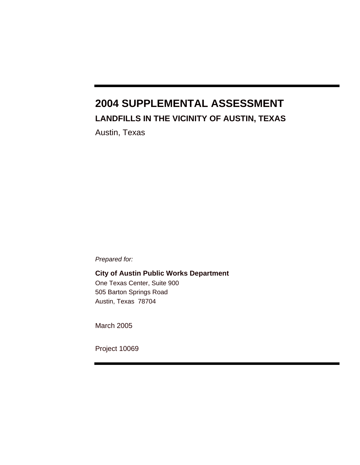# **2004 SUPPLEMENTAL ASSESSMENT LANDFILLS IN THE VICINITY OF AUSTIN, TEXAS**

Austin, Texas

*Prepared for:* 

**City of Austin Public Works Department**  One Texas Center, Suite 900 505 Barton Springs Road Austin, Texas 78704

March 2005

Project 10069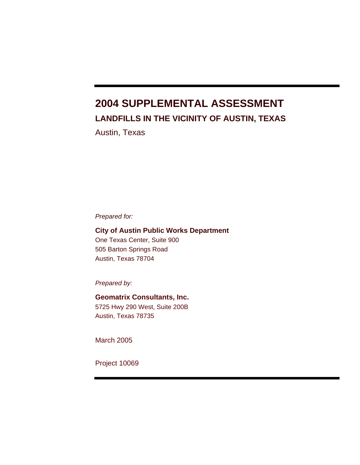# **2004 SUPPLEMENTAL ASSESSMENT LANDFILLS IN THE VICINITY OF AUSTIN, TEXAS**

Austin, Texas

*Prepared for:* 

**City of Austin Public Works Department**  One Texas Center, Suite 900 505 Barton Springs Road Austin, Texas 78704

*Prepared by:* 

**Geomatrix Consultants, Inc.**  5725 Hwy 290 West, Suite 200B Austin, Texas 78735

March 2005

Project 10069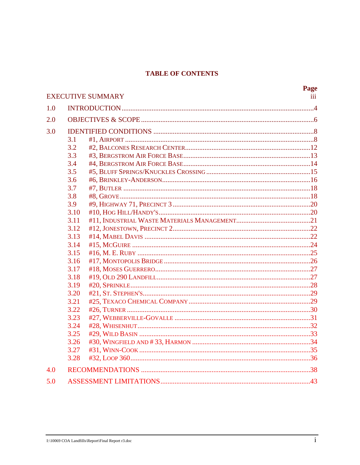## **TABLE OF CONTENTS**

|     |      | <b>EXECUTIVE SUMMARY</b> | <b>Page</b><br>iii |  |  |  |  |
|-----|------|--------------------------|--------------------|--|--|--|--|
| 1.0 |      |                          |                    |  |  |  |  |
| 2.0 |      |                          |                    |  |  |  |  |
| 3.0 |      |                          |                    |  |  |  |  |
|     | 3.1  |                          |                    |  |  |  |  |
|     | 3.2  |                          |                    |  |  |  |  |
|     | 3.3  |                          |                    |  |  |  |  |
|     | 3.4  |                          |                    |  |  |  |  |
|     | 3.5  |                          |                    |  |  |  |  |
|     | 3.6  |                          |                    |  |  |  |  |
|     | 3.7  |                          |                    |  |  |  |  |
|     | 3.8  |                          |                    |  |  |  |  |
|     | 3.9  |                          |                    |  |  |  |  |
|     | 3.10 |                          |                    |  |  |  |  |
|     | 3.11 |                          |                    |  |  |  |  |
|     | 3.12 |                          |                    |  |  |  |  |
|     | 3.13 |                          |                    |  |  |  |  |
|     | 3.14 |                          |                    |  |  |  |  |
|     | 3.15 |                          |                    |  |  |  |  |
|     | 3.16 |                          |                    |  |  |  |  |
|     | 3.17 |                          |                    |  |  |  |  |
|     | 3.18 |                          |                    |  |  |  |  |
|     | 3.19 |                          |                    |  |  |  |  |
|     | 3.20 |                          |                    |  |  |  |  |
|     | 3.21 |                          |                    |  |  |  |  |
|     | 3.22 |                          |                    |  |  |  |  |
|     | 3.23 |                          |                    |  |  |  |  |
|     | 3.24 |                          |                    |  |  |  |  |
|     | 3.25 |                          |                    |  |  |  |  |
|     | 3.26 |                          |                    |  |  |  |  |
|     | 3.27 |                          |                    |  |  |  |  |
|     | 3.28 |                          |                    |  |  |  |  |
| 4.0 |      |                          |                    |  |  |  |  |
| 5.0 |      |                          |                    |  |  |  |  |

 $\mathbf{r}$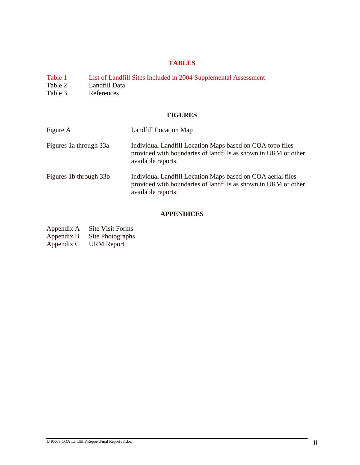## **TABLES**

- Table 1 List of Landfill Sites Included in 2004 Supplemental Assessment<br>Table 2 Landfill Data
- Table 2 Landfill Data<br>Table 3 References
- References

#### **FIGURES**

| Figure A               | Landfill Location Map                                                                                                                               |
|------------------------|-----------------------------------------------------------------------------------------------------------------------------------------------------|
| Figures 1a through 33a | Individual Landfill Location Maps based on COA topo files<br>provided with boundaries of landfills as shown in URM or other<br>available reports.   |
| Figures 1b through 33b | Individual Landfill Location Maps based on COA aerial files<br>provided with boundaries of landfills as shown in URM or other<br>available reports. |

## **APPENDICES**

Appendix A Site Visit Forms<br>Appendix B Site Photographs Site Photographs Appendix C URM Report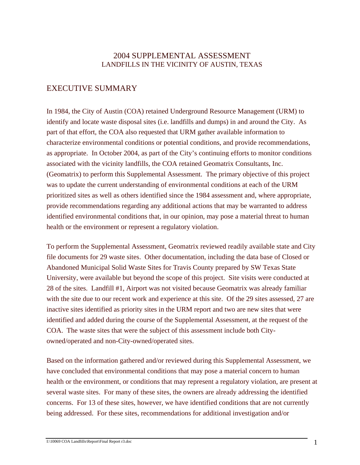## 2004 SUPPLEMENTAL ASSESSMENT LANDFILLS IN THE VICINITY OF AUSTIN, TEXAS

# EXECUTIVE SUMMARY

In 1984, the City of Austin (COA) retained Underground Resource Management (URM) to identify and locate waste disposal sites (i.e. landfills and dumps) in and around the City. As part of that effort, the COA also requested that URM gather available information to characterize environmental conditions or potential conditions, and provide recommendations, as appropriate. In October 2004, as part of the City's continuing efforts to monitor conditions associated with the vicinity landfills, the COA retained Geomatrix Consultants, Inc. (Geomatrix) to perform this Supplemental Assessment. The primary objective of this project was to update the current understanding of environmental conditions at each of the URM prioritized sites as well as others identified since the 1984 assessment and, where appropriate, provide recommendations regarding any additional actions that may be warranted to address identified environmental conditions that, in our opinion, may pose a material threat to human health or the environment or represent a regulatory violation.

To perform the Supplemental Assessment, Geomatrix reviewed readily available state and City file documents for 29 waste sites. Other documentation, including the data base of Closed or Abandoned Municipal Solid Waste Sites for Travis County prepared by SW Texas State University, were available but beyond the scope of this project. Site visits were conducted at 28 of the sites. Landfill #1, Airport was not visited because Geomatrix was already familiar with the site due to our recent work and experience at this site. Of the 29 sites assessed, 27 are inactive sites identified as priority sites in the URM report and two are new sites that were identified and added during the course of the Supplemental Assessment, at the request of the COA. The waste sites that were the subject of this assessment include both Cityowned/operated and non-City-owned/operated sites.

Based on the information gathered and/or reviewed during this Supplemental Assessment, we have concluded that environmental conditions that may pose a material concern to human health or the environment, or conditions that may represent a regulatory violation, are present at several waste sites. For many of these sites, the owners are already addressing the identified concerns. For 13 of these sites, however, we have identified conditions that are not currently being addressed. For these sites, recommendations for additional investigation and/or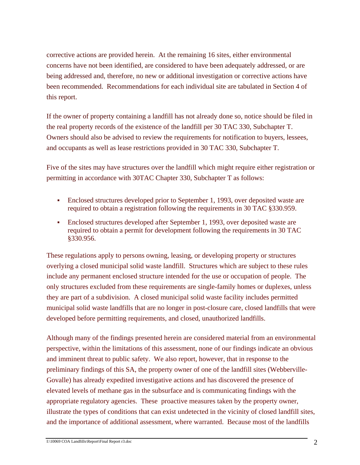corrective actions are provided herein. At the remaining 16 sites, either environmental concerns have not been identified, are considered to have been adequately addressed, or are being addressed and, therefore, no new or additional investigation or corrective actions have been recommended. Recommendations for each individual site are tabulated in Section 4 of this report.

If the owner of property containing a landfill has not already done so, notice should be filed in the real property records of the existence of the landfill per 30 TAC 330, Subchapter T. Owners should also be advised to review the requirements for notification to buyers, lessees, and occupants as well as lease restrictions provided in 30 TAC 330, Subchapter T.

Five of the sites may have structures over the landfill which might require either registration or permitting in accordance with 30TAC Chapter 330, Subchapter T as follows:

- Enclosed structures developed prior to September 1, 1993, over deposited waste are required to obtain a registration following the requirements in 30 TAC §330.959.
- Enclosed structures developed after September 1, 1993, over deposited waste are required to obtain a permit for development following the requirements in 30 TAC §330.956.

These regulations apply to persons owning, leasing, or developing property or structures overlying a closed municipal solid waste landfill. Structures which are subject to these rules include any permanent enclosed structure intended for the use or occupation of people. The only structures excluded from these requirements are single-family homes or duplexes, unless they are part of a subdivision. A closed municipal solid waste facility includes permitted municipal solid waste landfills that are no longer in post-closure care, closed landfills that were developed before permitting requirements, and closed, unauthorized landfills.

Although many of the findings presented herein are considered material from an environmental perspective, within the limitations of this assessment, none of our findings indicate an obvious and imminent threat to public safety. We also report, however, that in response to the preliminary findings of this SA, the property owner of one of the landfill sites (Webberville-Govalle) has already expedited investigative actions and has discovered the presence of elevated levels of methane gas in the subsurface and is communicating findings with the appropriate regulatory agencies. These proactive measures taken by the property owner, illustrate the types of conditions that can exist undetected in the vicinity of closed landfill sites, and the importance of additional assessment, where warranted. Because most of the landfills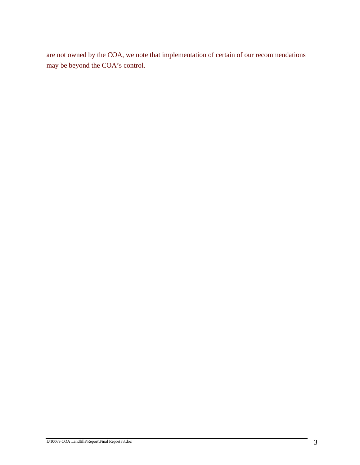are not owned by the COA, we note that implementation of certain of our recommendations may be beyond the COA's control.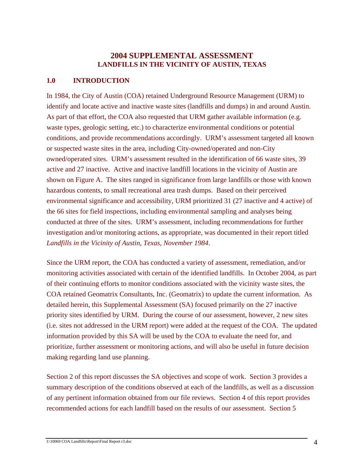## **2004 SUPPLEMENTAL ASSESSMENT LANDFILLS IN THE VICINITY OF AUSTIN, TEXAS**

#### **1.0 INTRODUCTION**

In 1984, the City of Austin (COA) retained Underground Resource Management (URM) to identify and locate active and inactive waste sites (landfills and dumps) in and around Austin. As part of that effort, the COA also requested that URM gather available information (e.g. waste types, geologic setting, etc.) to characterize environmental conditions or potential conditions, and provide recommendations accordingly. URM's assessment targeted all known or suspected waste sites in the area, including City-owned/operated and non-City owned/operated sites. URM's assessment resulted in the identification of 66 waste sites, 39 active and 27 inactive. Active and inactive landfill locations in the vicinity of Austin are shown on Figure A. The sites ranged in significance from large landfills or those with known hazardous contents, to small recreational area trash dumps. Based on their perceived environmental significance and accessibility, URM prioritized 31 (27 inactive and 4 active) of the 66 sites for field inspections, including environmental sampling and analyses being conducted at three of the sites. URM's assessment, including recommendations for further investigation and/or monitoring actions, as appropriate, was documented in their report titled *Landfills in the Vicinity of Austin, Texas, November 1984*.

Since the URM report, the COA has conducted a variety of assessment, remediation, and/or monitoring activities associated with certain of the identified landfills. In October 2004, as part of their continuing efforts to monitor conditions associated with the vicinity waste sites, the COA retained Geomatrix Consultants, Inc. (Geomatrix) to update the current information. As detailed herein, this Supplemental Assessment (SA) focused primarily on the 27 inactive priority sites identified by URM. During the course of our assessment, however, 2 new sites (i.e. sites not addressed in the URM report) were added at the request of the COA. The updated information provided by this SA will be used by the COA to evaluate the need for, and prioritize, further assessment or monitoring actions, and will also be useful in future decision making regarding land use planning.

Section 2 of this report discusses the SA objectives and scope of work. Section 3 provides a summary description of the conditions observed at each of the landfills, as well as a discussion of any pertinent information obtained from our file reviews. Section 4 of this report provides recommended actions for each landfill based on the results of our assessment. Section 5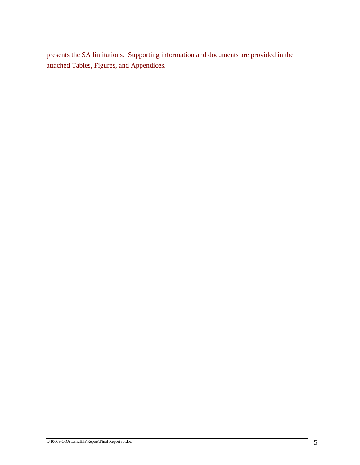presents the SA limitations. Supporting information and documents are provided in the attached Tables, Figures, and Appendices.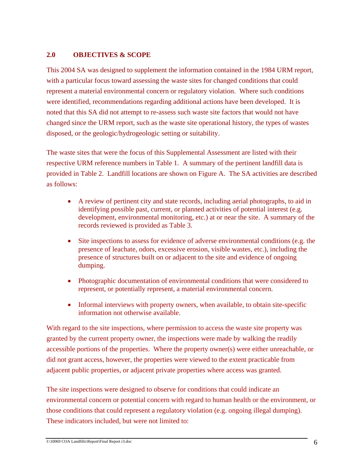#### **2.0 OBJECTIVES & SCOPE**

This 2004 SA was designed to supplement the information contained in the 1984 URM report, with a particular focus toward assessing the waste sites for changed conditions that could represent a material environmental concern or regulatory violation. Where such conditions were identified, recommendations regarding additional actions have been developed. It is noted that this SA did not attempt to re-assess such waste site factors that would not have changed since the URM report, such as the waste site operational history, the types of wastes disposed, or the geologic/hydrogeologic setting or suitability.

The waste sites that were the focus of this Supplemental Assessment are listed with their respective URM reference numbers in Table 1. A summary of the pertinent landfill data is provided in Table 2. Landfill locations are shown on Figure A. The SA activities are described as follows:

- A review of pertinent city and state records, including aerial photographs, to aid in identifying possible past, current, or planned activities of potential interest (e.g. development, environmental monitoring, etc.) at or near the site. A summary of the records reviewed is provided as Table 3.
- Site inspections to assess for evidence of adverse environmental conditions (e.g. the presence of leachate, odors, excessive erosion, visible wastes, etc.), including the presence of structures built on or adjacent to the site and evidence of ongoing dumping.
- Photographic documentation of environmental conditions that were considered to represent, or potentially represent, a material environmental concern.
- Informal interviews with property owners, when available, to obtain site-specific information not otherwise available.

With regard to the site inspections, where permission to access the waste site property was granted by the current property owner, the inspections were made by walking the readily accessible portions of the properties. Where the property owner(s) were either unreachable, or did not grant access, however, the properties were viewed to the extent practicable from adjacent public properties, or adjacent private properties where access was granted.

The site inspections were designed to observe for conditions that could indicate an environmental concern or potential concern with regard to human health or the environment, or those conditions that could represent a regulatory violation (e.g. ongoing illegal dumping). These indicators included, but were not limited to: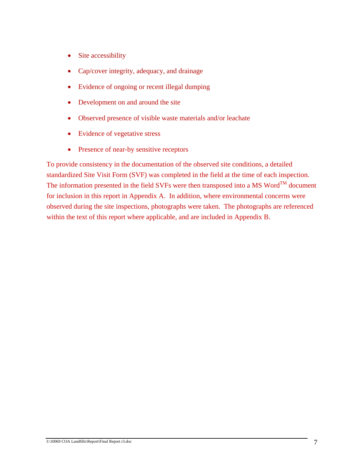- Site accessibility
- Cap/cover integrity, adequacy, and drainage
- Evidence of ongoing or recent illegal dumping
- Development on and around the site
- Observed presence of visible waste materials and/or leachate
- Evidence of vegetative stress
- Presence of near-by sensitive receptors

To provide consistency in the documentation of the observed site conditions, a detailed standardized Site Visit Form (SVF) was completed in the field at the time of each inspection. The information presented in the field SVFs were then transposed into a MS Word<sup>TM</sup> document for inclusion in this report in Appendix A. In addition, where environmental concerns were observed during the site inspections, photographs were taken. The photographs are referenced within the text of this report where applicable, and are included in Appendix B.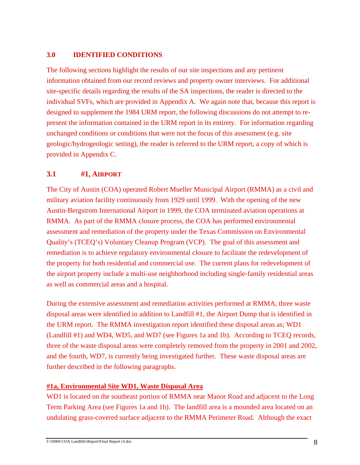#### **3.0 IDENTIFIED CONDITIONS**

The following sections highlight the results of our site inspections and any pertinent information obtained from our record reviews and property owner interviews. For additional site-specific details regarding the results of the SA inspections, the reader is directed to the individual SVFs, which are provided in Appendix A. We again note that, because this report is designed to supplement the 1984 URM report, the following discussions do not attempt to represent the information contained in the URM report in its entirety. For information regarding unchanged conditions or conditions that were not the focus of this assessment (e.g. site geologic/hydrogeologic setting), the reader is referred to the URM report, a copy of which is provided in Appendix C.

## **3.1 #1, AIRPORT**

The City of Austin (COA) operated Robert Mueller Municipal Airport (RMMA) as a civil and military aviation facility continuously from 1929 until 1999. With the opening of the new Austin-Bergstrom International Airport in 1999, the COA terminated aviation operations at RMMA. As part of the RMMA closure process, the COA has performed environmental assessment and remediation of the property under the Texas Commission on Environmental Quality's (TCEQ's) Voluntary Cleanup Program (VCP). The goal of this assessment and remediation is to achieve regulatory environmental closure to facilitate the redevelopment of the property for both residential and commercial use. The current plans for redevelopment of the airport property include a multi-use neighborhood including single-family residential areas as well as commercial areas and a hospital.

During the extensive assessment and remediation activities performed at RMMA, three waste disposal areas were identified in addition to Landfill #1, the Airport Dump that is identified in the URM report. The RMMA investigation report identified these disposal areas as; WD1 (Landfill #1) and WD4, WD5, and WD7 (see Figures 1a and 1b). According to TCEQ records, three of the waste disposal areas were completely removed from the property in 2001 and 2002, and the fourth, WD7, is currently being investigated further. These waste disposal areas are further described in the following paragraphs.

#### <sup>U</sup>**#1a, Environmental Site WD1, Waste Disposal Area**

WD1 is located on the southeast portion of RMMA near Manor Road and adjacent to the Long Term Parking Area (see Figures 1a and 1b). The landfill area is a mounded area located on an undulating grass-covered surface adjacent to the RMMA Perimeter Road. Although the exact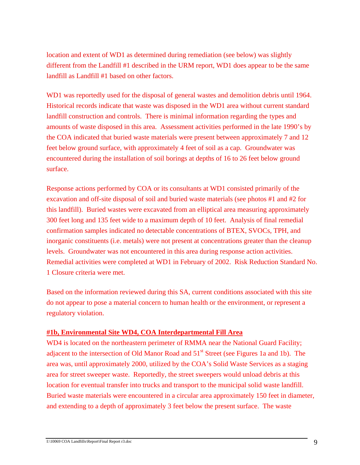location and extent of WD1 as determined during remediation (see below) was slightly different from the Landfill #1 described in the URM report, WD1 does appear to be the same landfill as Landfill #1 based on other factors.

WD1 was reportedly used for the disposal of general wastes and demolition debris until 1964. Historical records indicate that waste was disposed in the WD1 area without current standard landfill construction and controls. There is minimal information regarding the types and amounts of waste disposed in this area. Assessment activities performed in the late 1990's by the COA indicated that buried waste materials were present between approximately 7 and 12 feet below ground surface, with approximately 4 feet of soil as a cap. Groundwater was encountered during the installation of soil borings at depths of 16 to 26 feet below ground surface.

Response actions performed by COA or its consultants at WD1 consisted primarily of the excavation and off-site disposal of soil and buried waste materials (see photos #1 and #2 for this landfill). Buried wastes were excavated from an elliptical area measuring approximately 300 feet long and 135 feet wide to a maximum depth of 10 feet. Analysis of final remedial confirmation samples indicated no detectable concentrations of BTEX, SVOCs, TPH, and inorganic constituents (i.e. metals) were not present at concentrations greater than the cleanup levels. Groundwater was not encountered in this area during response action activities. Remedial activities were completed at WD1 in February of 2002. Risk Reduction Standard No. 1 Closure criteria were met.

Based on the information reviewed during this SA, current conditions associated with this site do not appear to pose a material concern to human health or the environment, or represent a regulatory violation.

#### <sup>U</sup>**#1b, Environmental Site WD4, COA Interdepartmental Fill Area**

WD4 is located on the northeastern perimeter of RMMA near the National Guard Facility; adjacent to the intersection of Old Manor Road and 51<sup>st</sup> Street (see Figures 1a and 1b). The area was, until approximately 2000, utilized by the COA's Solid Waste Services as a staging area for street sweeper waste. Reportedly, the street sweepers would unload debris at this location for eventual transfer into trucks and transport to the municipal solid waste landfill. Buried waste materials were encountered in a circular area approximately 150 feet in diameter, and extending to a depth of approximately 3 feet below the present surface. The waste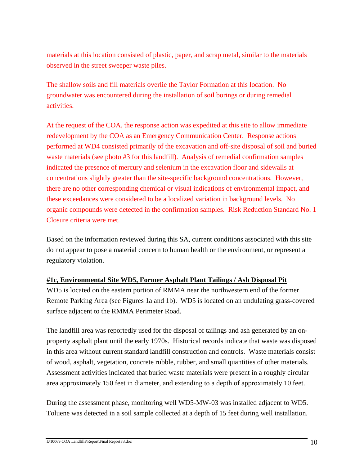materials at this location consisted of plastic, paper, and scrap metal, similar to the materials observed in the street sweeper waste piles.

The shallow soils and fill materials overlie the Taylor Formation at this location. No groundwater was encountered during the installation of soil borings or during remedial activities.

At the request of the COA, the response action was expedited at this site to allow immediate redevelopment by the COA as an Emergency Communication Center. Response actions performed at WD4 consisted primarily of the excavation and off-site disposal of soil and buried waste materials (see photo #3 for this landfill). Analysis of remedial confirmation samples indicated the presence of mercury and selenium in the excavation floor and sidewalls at concentrations slightly greater than the site-specific background concentrations. However, there are no other corresponding chemical or visual indications of environmental impact, and these exceedances were considered to be a localized variation in background levels. No organic compounds were detected in the confirmation samples. Risk Reduction Standard No. 1 Closure criteria were met.

Based on the information reviewed during this SA, current conditions associated with this site do not appear to pose a material concern to human health or the environment, or represent a regulatory violation.

#### <sup>U</sup>**#1c, Environmental Site WD5, Former Asphalt Plant Tailings / Ash Disposal Pit**

WD5 is located on the eastern portion of RMMA near the northwestern end of the former Remote Parking Area (see Figures 1a and 1b). WD5 is located on an undulating grass-covered surface adjacent to the RMMA Perimeter Road.

The landfill area was reportedly used for the disposal of tailings and ash generated by an onproperty asphalt plant until the early 1970s. Historical records indicate that waste was disposed in this area without current standard landfill construction and controls. Waste materials consist of wood, asphalt, vegetation, concrete rubble, rubber, and small quantities of other materials. Assessment activities indicated that buried waste materials were present in a roughly circular area approximately 150 feet in diameter, and extending to a depth of approximately 10 feet.

During the assessment phase, monitoring well WD5-MW-03 was installed adjacent to WD5. Toluene was detected in a soil sample collected at a depth of 15 feet during well installation.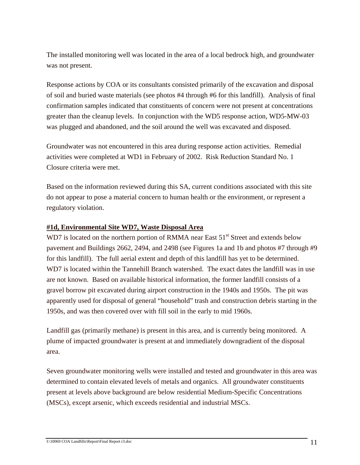The installed monitoring well was located in the area of a local bedrock high, and groundwater was not present.

Response actions by COA or its consultants consisted primarily of the excavation and disposal of soil and buried waste materials (see photos #4 through #6 for this landfill). Analysis of final confirmation samples indicated that constituents of concern were not present at concentrations greater than the cleanup levels. In conjunction with the WD5 response action, WD5-MW-03 was plugged and abandoned, and the soil around the well was excavated and disposed.

Groundwater was not encountered in this area during response action activities. Remedial activities were completed at WD1 in February of 2002. Risk Reduction Standard No. 1 Closure criteria were met.

Based on the information reviewed during this SA, current conditions associated with this site do not appear to pose a material concern to human health or the environment, or represent a regulatory violation.

#### <sup>U</sup>**#1d, Environmental Site WD7, Waste Disposal Area**

WD7 is located on the northern portion of RMMA near East 51<sup>st</sup> Street and extends below pavement and Buildings 2662, 2494, and 2498 (see Figures 1a and 1b and photos #7 through #9 for this landfill). The full aerial extent and depth of this landfill has yet to be determined. WD7 is located within the Tannehill Branch watershed. The exact dates the landfill was in use are not known. Based on available historical information, the former landfill consists of a gravel borrow pit excavated during airport construction in the 1940s and 1950s. The pit was apparently used for disposal of general "household" trash and construction debris starting in the 1950s, and was then covered over with fill soil in the early to mid 1960s.

Landfill gas (primarily methane) is present in this area, and is currently being monitored. A plume of impacted groundwater is present at and immediately downgradient of the disposal area.

Seven groundwater monitoring wells were installed and tested and groundwater in this area was determined to contain elevated levels of metals and organics. All groundwater constituents present at levels above background are below residential Medium-Specific Concentrations (MSCs), except arsenic, which exceeds residential and industrial MSCs.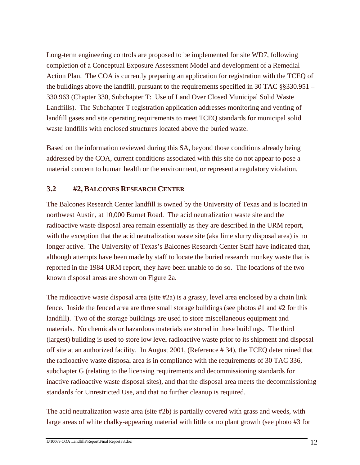Long-term engineering controls are proposed to be implemented for site WD7, following completion of a Conceptual Exposure Assessment Model and development of a Remedial Action Plan. The COA is currently preparing an application for registration with the TCEQ of the buildings above the landfill, pursuant to the requirements specified in 30 TAC §§330.951 – 330.963 (Chapter 330, Subchapter T: Use of Land Over Closed Municipal Solid Waste Landfills). The Subchapter T registration application addresses monitoring and venting of landfill gases and site operating requirements to meet TCEQ standards for municipal solid waste landfills with enclosed structures located above the buried waste.

Based on the information reviewed during this SA, beyond those conditions already being addressed by the COA, current conditions associated with this site do not appear to pose a material concern to human health or the environment, or represent a regulatory violation.

## **3.2 #2, BALCONES RESEARCH CENTER**

The Balcones Research Center landfill is owned by the University of Texas and is located in northwest Austin, at 10,000 Burnet Road. The acid neutralization waste site and the radioactive waste disposal area remain essentially as they are described in the URM report, with the exception that the acid neutralization waste site (aka lime slurry disposal area) is no longer active. The University of Texas's Balcones Research Center Staff have indicated that, although attempts have been made by staff to locate the buried research monkey waste that is reported in the 1984 URM report, they have been unable to do so. The locations of the two known disposal areas are shown on Figure 2a.

The radioactive waste disposal area (site #2a) is a grassy, level area enclosed by a chain link fence. Inside the fenced area are three small storage buildings (see photos #1 and #2 for this landfill). Two of the storage buildings are used to store miscellaneous equipment and materials. No chemicals or hazardous materials are stored in these buildings. The third (largest) building is used to store low level radioactive waste prior to its shipment and disposal off site at an authorized facility. In August 2001, (Reference # 34), the TCEQ determined that the radioactive waste disposal area is in compliance with the requirements of 30 TAC 336, subchapter G (relating to the licensing requirements and decommissioning standards for inactive radioactive waste disposal sites), and that the disposal area meets the decommissioning standards for Unrestricted Use, and that no further cleanup is required.

The acid neutralization waste area (site #2b) is partially covered with grass and weeds, with large areas of white chalky-appearing material with little or no plant growth (see photo #3 for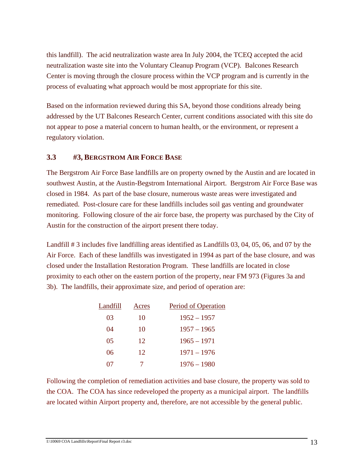this landfill). The acid neutralization waste area In July 2004, the TCEQ accepted the acid neutralization waste site into the Voluntary Cleanup Program (VCP). Balcones Research Center is moving through the closure process within the VCP program and is currently in the process of evaluating what approach would be most appropriate for this site.

Based on the information reviewed during this SA, beyond those conditions already being addressed by the UT Balcones Research Center, current conditions associated with this site do not appear to pose a material concern to human health, or the environment, or represent a regulatory violation.

#### **3.3 #3, BERGSTROM AIR FORCE BASE**

The Bergstrom Air Force Base landfills are on property owned by the Austin and are located in southwest Austin, at the Austin-Begstrom International Airport. Bergstrom Air Force Base was closed in 1984. As part of the base closure, numerous waste areas were investigated and remediated. Post-closure care for these landfills includes soil gas venting and groundwater monitoring. Following closure of the air force base, the property was purchased by the City of Austin for the construction of the airport present there today.

Landfill # 3 includes five landfilling areas identified as Landfills 03, 04, 05, 06, and 07 by the Air Force. Each of these landfills was investigated in 1994 as part of the base closure, and was closed under the Installation Restoration Program. These landfills are located in close proximity to each other on the eastern portion of the property, near FM 973 (Figures 3a and 3b). The landfills, their approximate size, and period of operation are:

| Landfill | Acres | Period of Operation |
|----------|-------|---------------------|
| 03       | 10    | $1952 - 1957$       |
| 04       | 10    | $1957 - 1965$       |
| 05       | 12    | $1965 - 1971$       |
| 06       | 12    | $1971 - 1976$       |
| 07       |       | $1976 - 1980$       |

Following the completion of remediation activities and base closure, the property was sold to the COA. The COA has since redeveloped the property as a municipal airport. The landfills are located within Airport property and, therefore, are not accessible by the general public.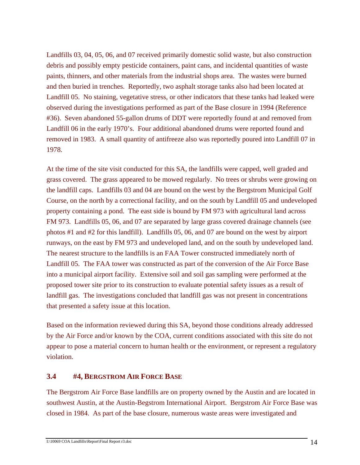Landfills 03, 04, 05, 06, and 07 received primarily domestic solid waste, but also construction debris and possibly empty pesticide containers, paint cans, and incidental quantities of waste paints, thinners, and other materials from the industrial shops area. The wastes were burned and then buried in trenches. Reportedly, two asphalt storage tanks also had been located at Landfill 05. No staining, vegetative stress, or other indicators that these tanks had leaked were observed during the investigations performed as part of the Base closure in 1994 (Reference #36). Seven abandoned 55-gallon drums of DDT were reportedly found at and removed from Landfill 06 in the early 1970's. Four additional abandoned drums were reported found and removed in 1983. A small quantity of antifreeze also was reportedly poured into Landfill 07 in 1978.

At the time of the site visit conducted for this SA, the landfills were capped, well graded and grass covered. The grass appeared to be mowed regularly. No trees or shrubs were growing on the landfill caps. Landfills 03 and 04 are bound on the west by the Bergstrom Municipal Golf Course, on the north by a correctional facility, and on the south by Landfill 05 and undeveloped property containing a pond. The east side is bound by FM 973 with agricultural land across FM 973. Landfills 05, 06, and 07 are separated by large grass covered drainage channels (see photos #1 and #2 for this landfill). Landfills 05, 06, and 07 are bound on the west by airport runways, on the east by FM 973 and undeveloped land, and on the south by undeveloped land. The nearest structure to the landfills is an FAA Tower constructed immediately north of Landfill 05. The FAA tower was constructed as part of the conversion of the Air Force Base into a municipal airport facility. Extensive soil and soil gas sampling were performed at the proposed tower site prior to its construction to evaluate potential safety issues as a result of landfill gas. The investigations concluded that landfill gas was not present in concentrations that presented a safety issue at this location.

Based on the information reviewed during this SA, beyond those conditions already addressed by the Air Force and/or known by the COA, current conditions associated with this site do not appear to pose a material concern to human health or the environment, or represent a regulatory violation.

#### **3.4 #4, BERGSTROM AIR FORCE BASE**

The Bergstrom Air Force Base landfills are on property owned by the Austin and are located in southwest Austin, at the Austin-Begstrom International Airport. Bergstrom Air Force Base was closed in 1984. As part of the base closure, numerous waste areas were investigated and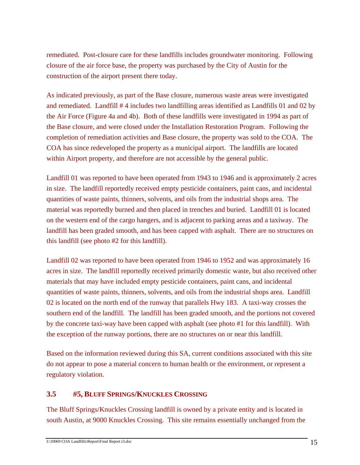remediated. Post-closure care for these landfills includes groundwater monitoring. Following closure of the air force base, the property was purchased by the City of Austin for the construction of the airport present there today.

As indicated previously, as part of the Base closure, numerous waste areas were investigated and remediated. Landfill # 4 includes two landfilling areas identified as Landfills 01 and 02 by the Air Force (Figure 4a and 4b). Both of these landfills were investigated in 1994 as part of the Base closure, and were closed under the Installation Restoration Program. Following the completion of remediation activities and Base closure, the property was sold to the COA. The COA has since redeveloped the property as a municipal airport. The landfills are located within Airport property, and therefore are not accessible by the general public.

Landfill 01 was reported to have been operated from 1943 to 1946 and is approximately 2 acres in size. The landfill reportedly received empty pesticide containers, paint cans, and incidental quantities of waste paints, thinners, solvents, and oils from the industrial shops area. The material was reportedly burned and then placed in trenches and buried. Landfill 01 is located on the western end of the cargo hangers, and is adjacent to parking areas and a taxiway. The landfill has been graded smooth, and has been capped with asphalt. There are no structures on this landfill (see photo #2 for this landfill).

Landfill 02 was reported to have been operated from 1946 to 1952 and was approximately 16 acres in size. The landfill reportedly received primarily domestic waste, but also received other materials that may have included empty pesticide containers, paint cans, and incidental quantities of waste paints, thinners, solvents, and oils from the industrial shops area. Landfill 02 is located on the north end of the runway that parallels Hwy 183. A taxi-way crosses the southern end of the landfill. The landfill has been graded smooth, and the portions not covered by the concrete taxi-way have been capped with asphalt (see photo #1 for this landfill). With the exception of the runway portions, there are no structures on or near this landfill.

Based on the information reviewed during this SA, current conditions associated with this site do not appear to pose a material concern to human health or the environment, or represent a regulatory violation.

## **3.5 #5, BLUFF SPRINGS/KNUCKLES CROSSING**

The Bluff Springs/Knuckles Crossing landfill is owned by a private entity and is located in south Austin, at 9000 Knuckles Crossing. This site remains essentially unchanged from the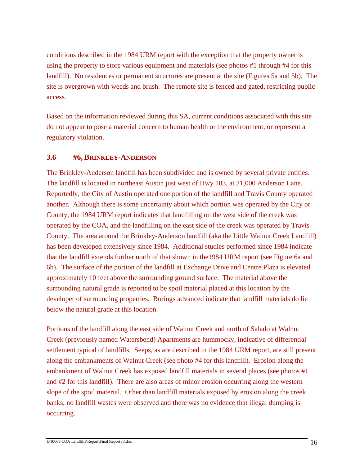conditions described in the 1984 URM report with the exception that the property owner is using the property to store various equipment and materials (see photos #1 through #4 for this landfill). No residences or permanent structures are present at the site (Figures 5a and 5b). The site is overgrown with weeds and brush. The remote site is fenced and gated, restricting public access.

Based on the information reviewed during this SA, current conditions associated with this site do not appear to pose a material concern to human health or the environment, or represent a regulatory violation.

## **3.6 #6, BRINKLEY-ANDERSON**

The Brinkley-Anderson landfill has been subdivided and is owned by several private entities. The landfill is located in northeast Austin just west of Hwy 183, at 21,000 Anderson Lane. Reportedly, the City of Austin operated one portion of the landfill and Travis County operated another. Although there is some uncertainty about which portion was operated by the City or County, the 1984 URM report indicates that landfilling on the west side of the creek was operated by the COA, and the landfilling on the east side of the creek was operated by Travis County. The area around the Brinkley-Anderson landfill (aka the Little Walnut Creek Landfill) has been developed extensively since 1984. Additional studies performed since 1984 indicate that the landfill extends further north of that shown in the1984 URM report (see Figure 6a and 6b). The surface of the portion of the landfill at Exchange Drive and Centre Plaza is elevated approximately 10 feet above the surrounding ground surface. The material above the surrounding natural grade is reported to be spoil material placed at this location by the developer of surrounding properties. Borings advanced indicate that landfill materials do lie below the natural grade at this location.

Portions of the landfill along the east side of Walnut Creek and north of Salado at Walnut Creek (previously named Watersbend) Apartments are hummocky, indicative of differential settlement typical of landfills. Seeps, as are described in the 1984 URM report, are still present along the embankments of Walnut Creek (see photo #4 for this landfill). Erosion along the embankment of Walnut Creek has exposed landfill materials in several places (see photos #1 and #2 for this landfill). There are also areas of minor erosion occurring along the western slope of the spoil material. Other than landfill materials exposed by erosion along the creek banks, no landfill wastes were observed and there was no evidence that illegal dumping is occurring.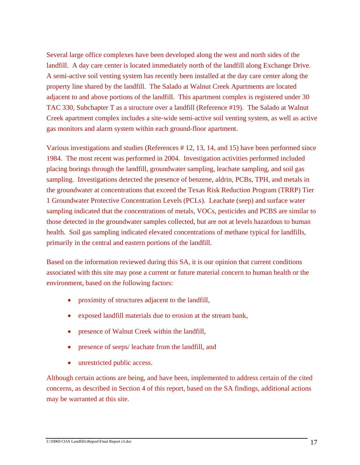Several large office complexes have been developed along the west and north sides of the landfill. A day care center is located immediately north of the landfill along Exchange Drive. A semi-active soil venting system has recently been installed at the day care center along the property line shared by the landfill. The Salado at Walnut Creek Apartments are located adjacent to and above portions of the landfill. This apartment complex is registered under 30 TAC 330, Subchapter T as a structure over a landfill (Reference #19). The Salado at Walnut Creek apartment complex includes a site-wide semi-active soil venting system, as well as active gas monitors and alarm system within each ground-floor apartment.

Various investigations and studies (References # 12, 13, 14, and 15) have been performed since 1984. The most recent was performed in 2004. Investigation activities performed included placing borings through the landfill, groundwater sampling, leachate sampling, and soil gas sampling. Investigations detected the presence of benzene, aldrin, PCBs, TPH, and metals in the groundwater at concentrations that exceed the Texas Risk Reduction Program (TRRP) Tier 1 Groundwater Protective Concentration Levels (PCLs). Leachate (seep) and surface water sampling indicated that the concentrations of metals, VOCs, pesticides and PCBS are similar to those detected in the groundwater samples collected, but are not at levels hazardous to human health. Soil gas sampling indicated elevated concentrations of methane typical for landfills, primarily in the central and eastern portions of the landfill.

Based on the information reviewed during this SA, it is our opinion that current conditions associated with this site may pose a current or future material concern to human health or the environment, based on the following factors:

- proximity of structures adjacent to the landfill,
- exposed landfill materials due to erosion at the stream bank,
- presence of Walnut Creek within the landfill,
- presence of seeps/ leachate from the landfill, and
- unrestricted public access.

Although certain actions are being, and have been, implemented to address certain of the cited concerns, as described in Section 4 of this report, based on the SA findings, additional actions may be warranted at this site.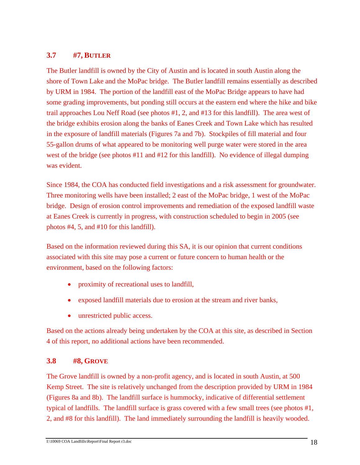# **3.7 #7, BUTLER**

The Butler landfill is owned by the City of Austin and is located in south Austin along the shore of Town Lake and the MoPac bridge. The Butler landfill remains essentially as described by URM in 1984. The portion of the landfill east of the MoPac Bridge appears to have had some grading improvements, but ponding still occurs at the eastern end where the hike and bike trail approaches Lou Neff Road (see photos #1, 2, and #13 for this landfill). The area west of the bridge exhibits erosion along the banks of Eanes Creek and Town Lake which has resulted in the exposure of landfill materials (Figures 7a and 7b). Stockpiles of fill material and four 55-gallon drums of what appeared to be monitoring well purge water were stored in the area west of the bridge (see photos #11 and #12 for this landfill). No evidence of illegal dumping was evident.

Since 1984, the COA has conducted field investigations and a risk assessment for groundwater. Three monitoring wells have been installed; 2 east of the MoPac bridge, 1 west of the MoPac bridge. Design of erosion control improvements and remediation of the exposed landfill waste at Eanes Creek is currently in progress, with construction scheduled to begin in 2005 (see photos #4, 5, and #10 for this landfill).

Based on the information reviewed during this SA, it is our opinion that current conditions associated with this site may pose a current or future concern to human health or the environment, based on the following factors:

- proximity of recreational uses to landfill,
- exposed landfill materials due to erosion at the stream and river banks,
- unrestricted public access.

Based on the actions already being undertaken by the COA at this site, as described in Section 4 of this report, no additional actions have been recommended.

## **3.8 #8, GROVE**

The Grove landfill is owned by a non-profit agency, and is located in south Austin, at 500 Kemp Street. The site is relatively unchanged from the description provided by URM in 1984 (Figures 8a and 8b). The landfill surface is hummocky, indicative of differential settlement typical of landfills. The landfill surface is grass covered with a few small trees (see photos #1, 2, and #8 for this landfill). The land immediately surrounding the landfill is heavily wooded.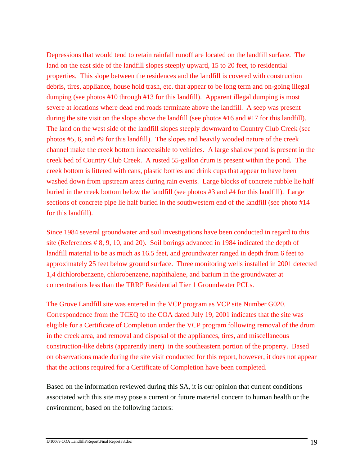Depressions that would tend to retain rainfall runoff are located on the landfill surface. The land on the east side of the landfill slopes steeply upward, 15 to 20 feet, to residential properties. This slope between the residences and the landfill is covered with construction debris, tires, appliance, house hold trash, etc. that appear to be long term and on-going illegal dumping (see photos #10 through #13 for this landfill). Apparent illegal dumping is most severe at locations where dead end roads terminate above the landfill. A seep was present during the site visit on the slope above the landfill (see photos #16 and #17 for this landfill). The land on the west side of the landfill slopes steeply downward to Country Club Creek (see photos #5, 6, and #9 for this landfill). The slopes and heavily wooded nature of the creek channel make the creek bottom inaccessible to vehicles. A large shallow pond is present in the creek bed of Country Club Creek. A rusted 55-gallon drum is present within the pond. The creek bottom is littered with cans, plastic bottles and drink cups that appear to have been washed down from upstream areas during rain events. Large blocks of concrete rubble lie half buried in the creek bottom below the landfill (see photos #3 and #4 for this landfill). Large sections of concrete pipe lie half buried in the southwestern end of the landfill (see photo #14 for this landfill).

Since 1984 several groundwater and soil investigations have been conducted in regard to this site (References # 8, 9, 10, and 20). Soil borings advanced in 1984 indicated the depth of landfill material to be as much as 16.5 feet, and groundwater ranged in depth from 6 feet to approximately 25 feet below ground surface. Three monitoring wells installed in 2001 detected 1,4 dichlorobenzene, chlorobenzene, naphthalene, and barium in the groundwater at concentrations less than the TRRP Residential Tier 1 Groundwater PCLs.

The Grove Landfill site was entered in the VCP program as VCP site Number G020. Correspondence from the TCEQ to the COA dated July 19, 2001 indicates that the site was eligible for a Certificate of Completion under the VCP program following removal of the drum in the creek area, and removal and disposal of the appliances, tires, and miscellaneous construction-like debris (apparently inert) in the southeastern portion of the property. Based on observations made during the site visit conducted for this report, however, it does not appear that the actions required for a Certificate of Completion have been completed.

Based on the information reviewed during this SA, it is our opinion that current conditions associated with this site may pose a current or future material concern to human health or the environment, based on the following factors: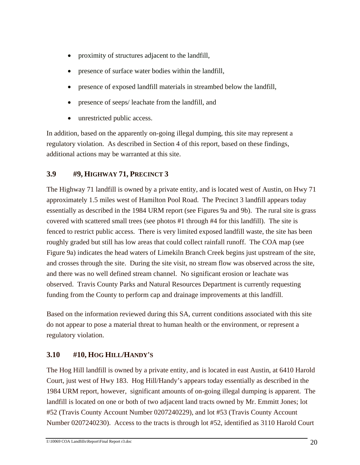- proximity of structures adjacent to the landfill,
- presence of surface water bodies within the landfill,
- presence of exposed landfill materials in streambed below the landfill,
- presence of seeps/ leachate from the landfill, and
- unrestricted public access.

In addition, based on the apparently on-going illegal dumping, this site may represent a regulatory violation. As described in Section 4 of this report, based on these findings, additional actions may be warranted at this site.

# **3.9 #9, HIGHWAY 71, PRECINCT 3**

The Highway 71 landfill is owned by a private entity, and is located west of Austin, on Hwy 71 approximately 1.5 miles west of Hamilton Pool Road. The Precinct 3 landfill appears today essentially as described in the 1984 URM report (see Figures 9a and 9b). The rural site is grass covered with scattered small trees (see photos #1 through #4 for this landfill). The site is fenced to restrict public access. There is very limited exposed landfill waste, the site has been roughly graded but still has low areas that could collect rainfall runoff. The COA map (see Figure 9a) indicates the head waters of Limekiln Branch Creek begins just upstream of the site, and crosses through the site. During the site visit, no stream flow was observed across the site, and there was no well defined stream channel. No significant erosion or leachate was observed. Travis County Parks and Natural Resources Department is currently requesting funding from the County to perform cap and drainage improvements at this landfill.

Based on the information reviewed during this SA, current conditions associated with this site do not appear to pose a material threat to human health or the environment, or represent a regulatory violation.

# **3.10 #10, HOG HILL/HANDY'S**

The Hog Hill landfill is owned by a private entity, and is located in east Austin, at 6410 Harold Court, just west of Hwy 183. Hog Hill/Handy's appears today essentially as described in the 1984 URM report, however, significant amounts of on-going illegal dumping is apparent. The landfill is located on one or both of two adjacent land tracts owned by Mr. Emmitt Jones; lot #52 (Travis County Account Number 0207240229), and lot #53 (Travis County Account Number 0207240230). Access to the tracts is through lot #52, identified as 3110 Harold Court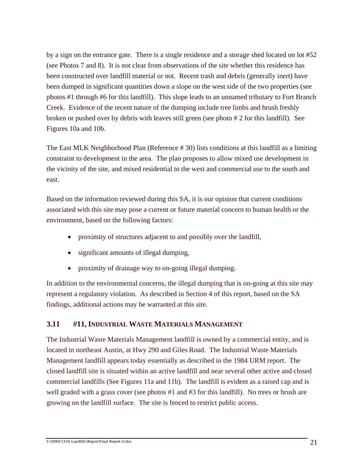by a sign on the entrance gate. There is a single residence and a storage shed located on lot #52 (see Photos 7 and 8). It is not clear from observations of the site whether this residence has been constructed over landfill material or not. Recent trash and debris (generally inert) have been dumped in significant quantities down a slope on the west side of the two properties (see photos #1 through #6 for this landfill). This slope leads to an unnamed tributary to Fort Branch Creek. Evidence of the recent nature of the dumping include tree limbs and brush freshly broken or pushed over by debris with leaves still green (see photo # 2 for this landfill). See Figures 10a and 10b.

The East MLK Neighborhood Plan (Reference # 30) lists conditions at this landfill as a limiting constraint to development in the area. The plan proposes to allow mixed use development in the vicinity of the site, and mixed residential to the west and commercial use to the south and east.

Based on the information reviewed during this SA, it is our opinion that current conditions associated with this site may pose a current or future material concern to human health or the environment, based on the following factors:

- proximity of structures adjacent to and possibly over the landfill,
- significant amounts of illegal dumping,
- proximity of drainage way to on-going illegal dumping.

In addition to the environmental concerns, the illegal dumping that is on-going at this site may represent a regulatory violation. As described in Section 4 of this report, based on the SA findings, additional actions may be warranted at this site.

## **3.11 #11, INDUSTRIAL WASTE MATERIALS MANAGEMENT**

The Industrial Waste Materials Management landfill is owned by a commercial entity, and is located in northeast Austin, at Hwy 290 and Giles Road. The Industrial Waste Materials Management landfill appears today essentially as described in the 1984 URM report. The closed landfill site is situated within an active landfill and near several other active and closed commercial landfills (See Figures 11a and 11b). The landfill is evident as a raised cap and is well graded with a grass cover (see photos #1 and #3 for this landfill). No trees or brush are growing on the landfill surface. The site is fenced to restrict public access.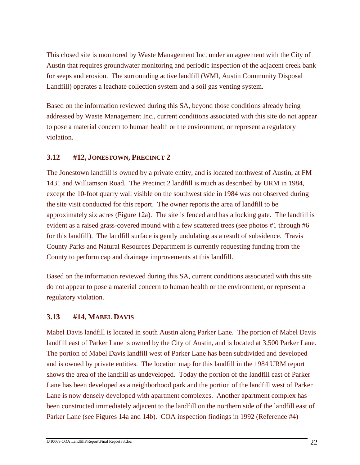This closed site is monitored by Waste Management Inc. under an agreement with the City of Austin that requires groundwater monitoring and periodic inspection of the adjacent creek bank for seeps and erosion. The surrounding active landfill (WMI, Austin Community Disposal Landfill) operates a leachate collection system and a soil gas venting system.

Based on the information reviewed during this SA, beyond those conditions already being addressed by Waste Management Inc., current conditions associated with this site do not appear to pose a material concern to human health or the environment, or represent a regulatory violation.

# **3.12 #12, JONESTOWN, PRECINCT 2**

The Jonestown landfill is owned by a private entity, and is located northwest of Austin, at FM 1431 and Williamson Road. The Precinct 2 landfill is much as described by URM in 1984, except the 10-foot quarry wall visible on the southwest side in 1984 was not observed during the site visit conducted for this report. The owner reports the area of landfill to be approximately six acres (Figure 12a). The site is fenced and has a locking gate. The landfill is evident as a raised grass-covered mound with a few scattered trees (see photos #1 through #6 for this landfill). The landfill surface is gently undulating as a result of subsidence. Travis County Parks and Natural Resources Department is currently requesting funding from the County to perform cap and drainage improvements at this landfill.

Based on the information reviewed during this SA, current conditions associated with this site do not appear to pose a material concern to human health or the environment, or represent a regulatory violation.

# **3.13 #14, MABEL DAVIS**

Mabel Davis landfill is located in south Austin along Parker Lane. The portion of Mabel Davis landfill east of Parker Lane is owned by the City of Austin, and is located at 3,500 Parker Lane. The portion of Mabel Davis landfill west of Parker Lane has been subdivided and developed and is owned by private entities. The location map for this landfill in the 1984 URM report shows the area of the landfill as undeveloped. Today the portion of the landfill east of Parker Lane has been developed as a neighborhood park and the portion of the landfill west of Parker Lane is now densely developed with apartment complexes. Another apartment complex has been constructed immediately adjacent to the landfill on the northern side of the landfill east of Parker Lane (see Figures 14a and 14b). COA inspection findings in 1992 (Reference #4)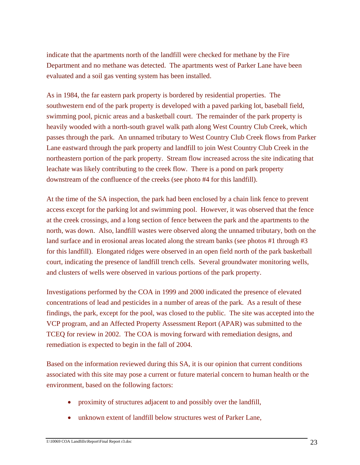indicate that the apartments north of the landfill were checked for methane by the Fire Department and no methane was detected. The apartments west of Parker Lane have been evaluated and a soil gas venting system has been installed.

As in 1984, the far eastern park property is bordered by residential properties. The southwestern end of the park property is developed with a paved parking lot, baseball field, swimming pool, picnic areas and a basketball court. The remainder of the park property is heavily wooded with a north-south gravel walk path along West Country Club Creek, which passes through the park. An unnamed tributary to West Country Club Creek flows from Parker Lane eastward through the park property and landfill to join West Country Club Creek in the northeastern portion of the park property. Stream flow increased across the site indicating that leachate was likely contributing to the creek flow. There is a pond on park property downstream of the confluence of the creeks (see photo #4 for this landfill).

At the time of the SA inspection, the park had been enclosed by a chain link fence to prevent access except for the parking lot and swimming pool. However, it was observed that the fence at the creek crossings, and a long section of fence between the park and the apartments to the north, was down. Also, landfill wastes were observed along the unnamed tributary, both on the land surface and in erosional areas located along the stream banks (see photos #1 through #3 for this landfill). Elongated ridges were observed in an open field north of the park basketball court, indicating the presence of landfill trench cells. Several groundwater monitoring wells, and clusters of wells were observed in various portions of the park property.

Investigations performed by the COA in 1999 and 2000 indicated the presence of elevated concentrations of lead and pesticides in a number of areas of the park. As a result of these findings, the park, except for the pool, was closed to the public. The site was accepted into the VCP program, and an Affected Property Assessment Report (APAR) was submitted to the TCEQ for review in 2002. The COA is moving forward with remediation designs, and remediation is expected to begin in the fall of 2004.

Based on the information reviewed during this SA, it is our opinion that current conditions associated with this site may pose a current or future material concern to human health or the environment, based on the following factors:

- proximity of structures adjacent to and possibly over the landfill,
- unknown extent of landfill below structures west of Parker Lane,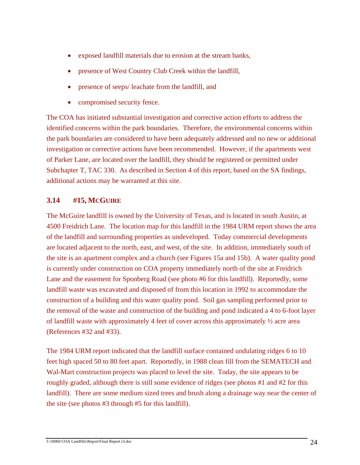- exposed landfill materials due to erosion at the stream banks,
- presence of West Country Club Creek within the landfill,
- presence of seeps/ leachate from the landfill, and
- compromised security fence.

The COA has initiated substantial investigation and corrective action efforts to address the identified concerns within the park boundaries. Therefore, the environmental concerns within the park boundaries are considered to have been adequately addressed and no new or additional investigation or corrective actions have been recommended. However, if the apartments west of Parker Lane, are located over the landfill, they should be registered or permitted under Subchapter T, TAC 330. As described in Section 4 of this report, based on the SA findings, additional actions may be warranted at this site.

# **3.14 #15, MCGUIRE**

The McGuire landfill is owned by the University of Texas, and is located in south Austin, at 4500 Freidrich Lane. The location map for this landfill in the 1984 URM report shows the area of the landfill and surrounding properties as undeveloped. Today commercial developments are located adjacent to the north, east, and west, of the site. In addition, immediately south of the site is an apartment complex and a church (see Figures 15a and 15b). A water quality pond is currently under construction on COA property immediately north of the site at Freidrich Lane and the easement for Sponberg Road (see photo #6 for this landfill). Reportedly, some landfill waste was excavated and disposed of from this location in 1992 to accommodate the construction of a building and this water quality pond. Soil gas sampling performed prior to the removal of the waste and construction of the building and pond indicated a 4 to 6-foot layer of landfill waste with approximately 4 feet of cover across this approximately ½ acre area (References #32 and #33).

The 1984 URM report indicated that the landfill surface contained undulating ridges 6 to 10 feet high spaced 50 to 80 feet apart. Reportedly, in 1988 clean fill from the SEMATECH and Wal-Mart construction projects was placed to level the site. Today, the site appears to be roughly graded, although there is still some evidence of ridges (see photos #1 and #2 for this landfill). There are some medium sized trees and brush along a drainage way near the center of the site (see photos #3 through #5 for this landfill).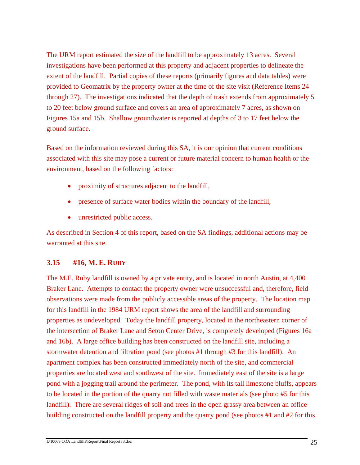The URM report estimated the size of the landfill to be approximately 13 acres. Several investigations have been performed at this property and adjacent properties to delineate the extent of the landfill. Partial copies of these reports (primarily figures and data tables) were provided to Geomatrix by the property owner at the time of the site visit (Reference Items 24 through 27). The investigations indicated that the depth of trash extends from approximately 5 to 20 feet below ground surface and covers an area of approximately 7 acres, as shown on Figures 15a and 15b. Shallow groundwater is reported at depths of 3 to 17 feet below the ground surface.

Based on the information reviewed during this SA, it is our opinion that current conditions associated with this site may pose a current or future material concern to human health or the environment, based on the following factors:

- proximity of structures adjacent to the landfill,
- presence of surface water bodies within the boundary of the landfill,
- unrestricted public access.

As described in Section 4 of this report, based on the SA findings, additional actions may be warranted at this site.

## **3.15 #16, M. E. RUBY**

The M.E. Ruby landfill is owned by a private entity, and is located in north Austin, at 4,400 Braker Lane. Attempts to contact the property owner were unsuccessful and, therefore, field observations were made from the publicly accessible areas of the property. The location map for this landfill in the 1984 URM report shows the area of the landfill and surrounding properties as undeveloped. Today the landfill property, located in the northeastern corner of the intersection of Braker Lane and Seton Center Drive, is completely developed (Figures 16a and 16b). A large office building has been constructed on the landfill site, including a stormwater detention and filtration pond (see photos #1 through #3 for this landfill). An apartment complex has been constructed immediately north of the site, and commercial properties are located west and southwest of the site. Immediately east of the site is a large pond with a jogging trail around the perimeter. The pond, with its tall limestone bluffs, appears to be located in the portion of the quarry not filled with waste materials (see photo #5 for this landfill). There are several ridges of soil and trees in the open grassy area between an office building constructed on the landfill property and the quarry pond (see photos #1 and #2 for this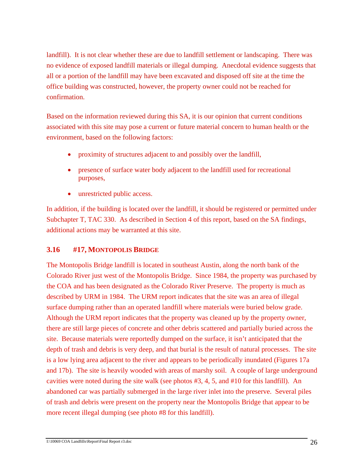landfill). It is not clear whether these are due to landfill settlement or landscaping. There was no evidence of exposed landfill materials or illegal dumping. Anecdotal evidence suggests that all or a portion of the landfill may have been excavated and disposed off site at the time the office building was constructed, however, the property owner could not be reached for confirmation.

Based on the information reviewed during this SA, it is our opinion that current conditions associated with this site may pose a current or future material concern to human health or the environment, based on the following factors:

- proximity of structures adjacent to and possibly over the landfill,
- presence of surface water body adjacent to the landfill used for recreational purposes,
- unrestricted public access.

In addition, if the building is located over the landfill, it should be registered or permitted under Subchapter T, TAC 330. As described in Section 4 of this report, based on the SA findings, additional actions may be warranted at this site.

# **3.16 #17, MONTOPOLIS BRIDGE**

The Montopolis Bridge landfill is located in southeast Austin, along the north bank of the Colorado River just west of the Montopolis Bridge. Since 1984, the property was purchased by the COA and has been designated as the Colorado River Preserve. The property is much as described by URM in 1984. The URM report indicates that the site was an area of illegal surface dumping rather than an operated landfill where materials were buried below grade. Although the URM report indicates that the property was cleaned up by the property owner, there are still large pieces of concrete and other debris scattered and partially buried across the site. Because materials were reportedly dumped on the surface, it isn't anticipated that the depth of trash and debris is very deep, and that burial is the result of natural processes. The site is a low lying area adjacent to the river and appears to be periodically inundated (Figures 17a and 17b). The site is heavily wooded with areas of marshy soil. A couple of large underground cavities were noted during the site walk (see photos #3, 4, 5, and #10 for this landfill). An abandoned car was partially submerged in the large river inlet into the preserve. Several piles of trash and debris were present on the property near the Montopolis Bridge that appear to be more recent illegal dumping (see photo #8 for this landfill).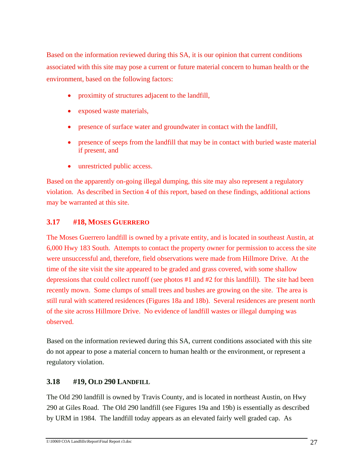Based on the information reviewed during this SA, it is our opinion that current conditions associated with this site may pose a current or future material concern to human health or the environment, based on the following factors:

- proximity of structures adjacent to the landfill,
- exposed waste materials,
- presence of surface water and groundwater in contact with the landfill,
- presence of seeps from the landfill that may be in contact with buried waste material if present, and
- unrestricted public access.

Based on the apparently on-going illegal dumping, this site may also represent a regulatory violation. As described in Section 4 of this report, based on these findings, additional actions may be warranted at this site.

# **3.17 #18, MOSES GUERRERO**

The Moses Guerrero landfill is owned by a private entity, and is located in southeast Austin, at 6,000 Hwy 183 South. Attempts to contact the property owner for permission to access the site were unsuccessful and, therefore, field observations were made from Hillmore Drive. At the time of the site visit the site appeared to be graded and grass covered, with some shallow depressions that could collect runoff (see photos #1 and #2 for this landfill). The site had been recently mown. Some clumps of small trees and bushes are growing on the site. The area is still rural with scattered residences (Figures 18a and 18b). Several residences are present north of the site across Hillmore Drive. No evidence of landfill wastes or illegal dumping was observed.

Based on the information reviewed during this SA, current conditions associated with this site do not appear to pose a material concern to human health or the environment, or represent a regulatory violation.

# **3.18 #19, OLD 290 LANDFILL**

The Old 290 landfill is owned by Travis County, and is located in northeast Austin, on Hwy 290 at Giles Road. The Old 290 landfill (see Figures 19a and 19b) is essentially as described by URM in 1984. The landfill today appears as an elevated fairly well graded cap. As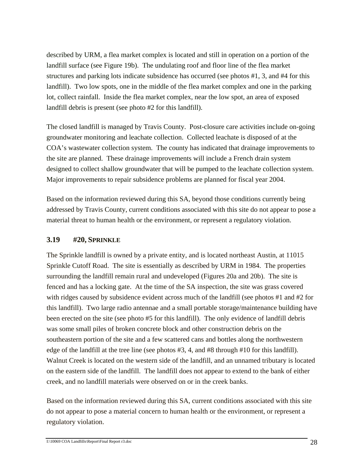described by URM, a flea market complex is located and still in operation on a portion of the landfill surface (see Figure 19b). The undulating roof and floor line of the flea market structures and parking lots indicate subsidence has occurred (see photos #1, 3, and #4 for this landfill). Two low spots, one in the middle of the flea market complex and one in the parking lot, collect rainfall. Inside the flea market complex, near the low spot, an area of exposed landfill debris is present (see photo #2 for this landfill).

The closed landfill is managed by Travis County. Post-closure care activities include on-going groundwater monitoring and leachate collection. Collected leachate is disposed of at the COA's wastewater collection system. The county has indicated that drainage improvements to the site are planned. These drainage improvements will include a French drain system designed to collect shallow groundwater that will be pumped to the leachate collection system. Major improvements to repair subsidence problems are planned for fiscal year 2004.

Based on the information reviewed during this SA, beyond those conditions currently being addressed by Travis County, current conditions associated with this site do not appear to pose a material threat to human health or the environment, or represent a regulatory violation.

## **3.19 #20, SPRINKLE**

The Sprinkle landfill is owned by a private entity, and is located northeast Austin, at 11015 Sprinkle Cutoff Road. The site is essentially as described by URM in 1984. The properties surrounding the landfill remain rural and undeveloped (Figures 20a and 20b). The site is fenced and has a locking gate. At the time of the SA inspection, the site was grass covered with ridges caused by subsidence evident across much of the landfill (see photos #1 and #2 for this landfill). Two large radio antennae and a small portable storage/maintenance building have been erected on the site (see photo #5 for this landfill). The only evidence of landfill debris was some small piles of broken concrete block and other construction debris on the southeastern portion of the site and a few scattered cans and bottles along the northwestern edge of the landfill at the tree line (see photos #3, 4, and #8 through #10 for this landfill). Walnut Creek is located on the western side of the landfill, and an unnamed tributary is located on the eastern side of the landfill. The landfill does not appear to extend to the bank of either creek, and no landfill materials were observed on or in the creek banks.

Based on the information reviewed during this SA, current conditions associated with this site do not appear to pose a material concern to human health or the environment, or represent a regulatory violation.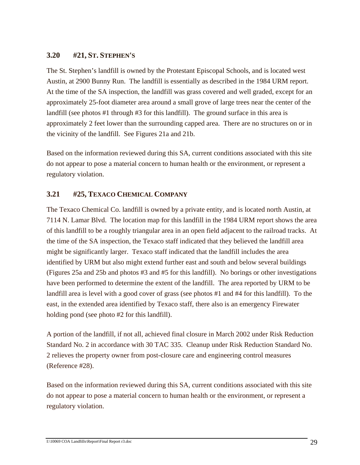# **3.20 #21, ST. STEPHEN'S**

The St. Stephen's landfill is owned by the Protestant Episcopal Schools, and is located west Austin, at 2900 Bunny Run. The landfill is essentially as described in the 1984 URM report. At the time of the SA inspection, the landfill was grass covered and well graded, except for an approximately 25-foot diameter area around a small grove of large trees near the center of the landfill (see photos #1 through #3 for this landfill). The ground surface in this area is approximately 2 feet lower than the surrounding capped area. There are no structures on or in the vicinity of the landfill. See Figures 21a and 21b.

Based on the information reviewed during this SA, current conditions associated with this site do not appear to pose a material concern to human health or the environment, or represent a regulatory violation.

# **3.21 #25, TEXACO CHEMICAL COMPANY**

The Texaco Chemical Co. landfill is owned by a private entity, and is located north Austin, at 7114 N. Lamar Blvd. The location map for this landfill in the 1984 URM report shows the area of this landfill to be a roughly triangular area in an open field adjacent to the railroad tracks. At the time of the SA inspection, the Texaco staff indicated that they believed the landfill area might be significantly larger. Texaco staff indicated that the landfill includes the area identified by URM but also might extend further east and south and below several buildings (Figures 25a and 25b and photos #3 and #5 for this landfill). No borings or other investigations have been performed to determine the extent of the landfill. The area reported by URM to be landfill area is level with a good cover of grass (see photos #1 and #4 for this landfill). To the east, in the extended area identified by Texaco staff, there also is an emergency Firewater holding pond (see photo #2 for this landfill).

A portion of the landfill, if not all, achieved final closure in March 2002 under Risk Reduction Standard No. 2 in accordance with 30 TAC 335. Cleanup under Risk Reduction Standard No. 2 relieves the property owner from post-closure care and engineering control measures (Reference #28).

Based on the information reviewed during this SA, current conditions associated with this site do not appear to pose a material concern to human health or the environment, or represent a regulatory violation.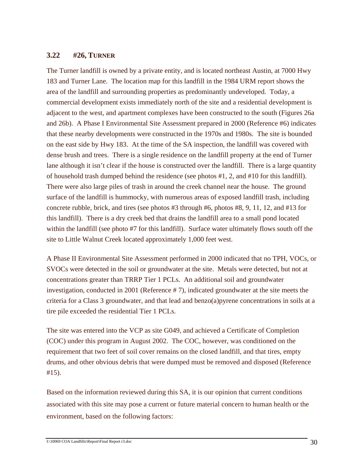## **3.22 #26, TURNER**

The Turner landfill is owned by a private entity, and is located northeast Austin, at 7000 Hwy 183 and Turner Lane. The location map for this landfill in the 1984 URM report shows the area of the landfill and surrounding properties as predominantly undeveloped. Today, a commercial development exists immediately north of the site and a residential development is adjacent to the west, and apartment complexes have been constructed to the south (Figures 26a and 26b). A Phase I Environmental Site Assessment prepared in 2000 (Reference #6) indicates that these nearby developments were constructed in the 1970s and 1980s. The site is bounded on the east side by Hwy 183. At the time of the SA inspection, the landfill was covered with dense brush and trees. There is a single residence on the landfill property at the end of Turner lane although it isn't clear if the house is constructed over the landfill. There is a large quantity of household trash dumped behind the residence (see photos #1, 2, and #10 for this landfill). There were also large piles of trash in around the creek channel near the house. The ground surface of the landfill is hummocky, with numerous areas of exposed landfill trash, including concrete rubble, brick, and tires (see photos #3 through #6, photos #8, 9, 11, 12, and #13 for this landfill). There is a dry creek bed that drains the landfill area to a small pond located within the landfill (see photo #7 for this landfill). Surface water ultimately flows south off the site to Little Walnut Creek located approximately 1,000 feet west.

A Phase II Environmental Site Assessment performed in 2000 indicated that no TPH, VOCs, or SVOCs were detected in the soil or groundwater at the site. Metals were detected, but not at concentrations greater than TRRP Tier 1 PCLs. An additional soil and groundwater investigation, conducted in 2001 (Reference # 7), indicated groundwater at the site meets the criteria for a Class 3 groundwater, and that lead and benzo(a)pyrene concentrations in soils at a tire pile exceeded the residential Tier 1 PCLs.

The site was entered into the VCP as site G049, and achieved a Certificate of Completion (COC) under this program in August 2002. The COC, however, was conditioned on the requirement that two feet of soil cover remains on the closed landfill, and that tires, empty drums, and other obvious debris that were dumped must be removed and disposed (Reference #15).

Based on the information reviewed during this SA, it is our opinion that current conditions associated with this site may pose a current or future material concern to human health or the environment, based on the following factors: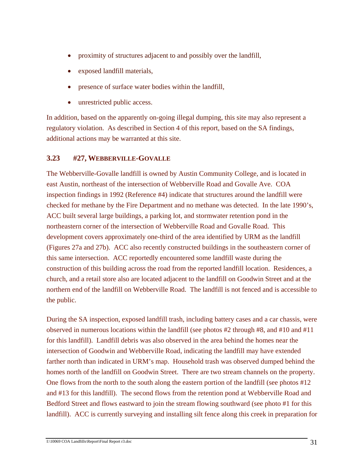- proximity of structures adjacent to and possibly over the landfill,
- exposed landfill materials,
- presence of surface water bodies within the landfill,
- unrestricted public access.

In addition, based on the apparently on-going illegal dumping, this site may also represent a regulatory violation. As described in Section 4 of this report, based on the SA findings, additional actions may be warranted at this site.

## **3.23 #27, WEBBERVILLE-GOVALLE**

The Webberville-Govalle landfill is owned by Austin Community College, and is located in east Austin, northeast of the intersection of Webberville Road and Govalle Ave. COA inspection findings in 1992 (Reference #4) indicate that structures around the landfill were checked for methane by the Fire Department and no methane was detected. In the late 1990's, ACC built several large buildings, a parking lot, and stormwater retention pond in the northeastern corner of the intersection of Webberville Road and Govalle Road. This development covers approximately one-third of the area identified by URM as the landfill (Figures 27a and 27b). ACC also recently constructed buildings in the southeastern corner of this same intersection. ACC reportedly encountered some landfill waste during the construction of this building across the road from the reported landfill location. Residences, a church, and a retail store also are located adjacent to the landfill on Goodwin Street and at the northern end of the landfill on Webberville Road. The landfill is not fenced and is accessible to the public.

During the SA inspection, exposed landfill trash, including battery cases and a car chassis, were observed in numerous locations within the landfill (see photos #2 through #8, and #10 and #11 for this landfill). Landfill debris was also observed in the area behind the homes near the intersection of Goodwin and Webberville Road, indicating the landfill may have extended farther north than indicated in URM's map. Household trash was observed dumped behind the homes north of the landfill on Goodwin Street. There are two stream channels on the property. One flows from the north to the south along the eastern portion of the landfill (see photos #12 and #13 for this landfill). The second flows from the retention pond at Webberville Road and Bedford Street and flows eastward to join the stream flowing southward (see photo #1 for this landfill). ACC is currently surveying and installing silt fence along this creek in preparation for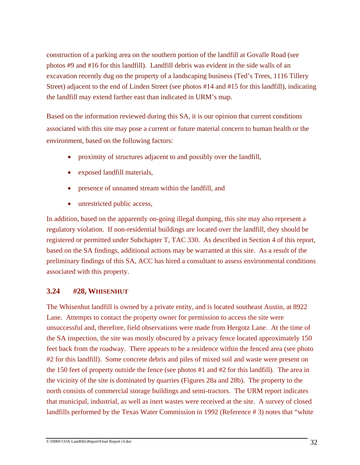construction of a parking area on the southern portion of the landfill at Govalle Road (see photos #9 and #16 for this landfill). Landfill debris was evident in the side walls of an excavation recently dug on the property of a landscaping business (Ted's Trees, 1116 Tillery Street) adjacent to the end of Linden Street (see photos #14 and #15 for this landfill), indicating the landfill may extend farther east than indicated in URM's map.

Based on the information reviewed during this SA, it is our opinion that current conditions associated with this site may pose a current or future material concern to human health or the environment, based on the following factors:

- proximity of structures adjacent to and possibly over the landfill,
- exposed landfill materials,
- presence of unnamed stream within the landfill, and
- unrestricted public access,

In addition, based on the apparently on-going illegal dumping, this site may also represent a regulatory violation. If non-residential buildings are located over the landfill, they should be registered or permitted under Subchapter T, TAC 330. As described in Section 4 of this report, based on the SA findings, additional actions may be warranted at this site. As a result of the preliminary findings of this SA, ACC has hired a consultant to assess environmental conditions associated with this property.

# **3.24 #28, WHISENHUT**

The Whisenhut landfill is owned by a private entity, and is located southeast Austin, at 8922 Lane. Attempts to contact the property owner for permission to access the site were unsuccessful and, therefore, field observations were made from Hergotz Lane. At the time of the SA inspection, the site was mostly obscured by a privacy fence located approximately 150 feet back from the roadway. There appears to be a residence within the fenced area (see photo #2 for this landfill). Some concrete debris and piles of mixed soil and waste were present on the 150 feet of property outside the fence (see photos #1 and #2 for this landfill). The area in the vicinity of the site is dominated by quarries (Figures 28a and 28b). The property to the north consists of commercial storage buildings and semi-tractors. The URM report indicates that municipal, industrial, as well as inert wastes were received at the site. A survey of closed landfills performed by the Texas Water Commission in 1992 (Reference # 3) notes that "white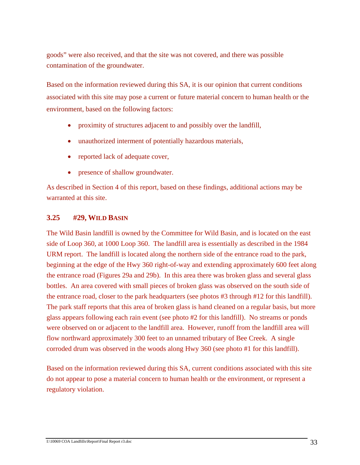goods" were also received, and that the site was not covered, and there was possible contamination of the groundwater.

Based on the information reviewed during this SA, it is our opinion that current conditions associated with this site may pose a current or future material concern to human health or the environment, based on the following factors:

- proximity of structures adjacent to and possibly over the landfill,
- unauthorized interment of potentially hazardous materials,
- reported lack of adequate cover,
- presence of shallow groundwater.

As described in Section 4 of this report, based on these findings, additional actions may be warranted at this site.

## **3.25 #29, WILD BASIN**

The Wild Basin landfill is owned by the Committee for Wild Basin, and is located on the east side of Loop 360, at 1000 Loop 360. The landfill area is essentially as described in the 1984 URM report. The landfill is located along the northern side of the entrance road to the park, beginning at the edge of the Hwy 360 right-of-way and extending approximately 600 feet along the entrance road (Figures 29a and 29b). In this area there was broken glass and several glass bottles. An area covered with small pieces of broken glass was observed on the south side of the entrance road, closer to the park headquarters (see photos #3 through #12 for this landfill). The park staff reports that this area of broken glass is hand cleaned on a regular basis, but more glass appears following each rain event (see photo #2 for this landfill). No streams or ponds were observed on or adjacent to the landfill area. However, runoff from the landfill area will flow northward approximately 300 feet to an unnamed tributary of Bee Creek. A single corroded drum was observed in the woods along Hwy 360 (see photo #1 for this landfill).

Based on the information reviewed during this SA, current conditions associated with this site do not appear to pose a material concern to human health or the environment, or represent a regulatory violation.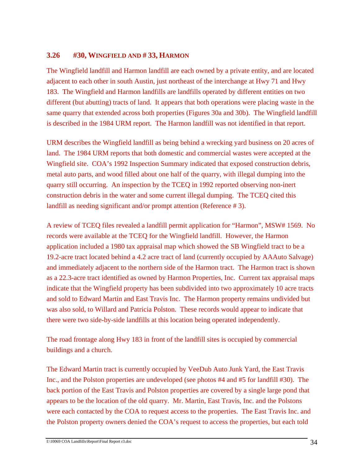## **3.26 #30, WINGFIELD AND # 33, HARMON**

The Wingfield landfill and Harmon landfill are each owned by a private entity, and are located adjacent to each other in south Austin, just northeast of the interchange at Hwy 71 and Hwy 183. The Wingfield and Harmon landfills are landfills operated by different entities on two different (but abutting) tracts of land. It appears that both operations were placing waste in the same quarry that extended across both properties (Figures 30a and 30b). The Wingfield landfill is described in the 1984 URM report. The Harmon landfill was not identified in that report.

URM describes the Wingfield landfill as being behind a wrecking yard business on 20 acres of land. The 1984 URM reports that both domestic and commercial wastes were accepted at the Wingfield site. COA's 1992 Inspection Summary indicated that exposed construction debris, metal auto parts, and wood filled about one half of the quarry, with illegal dumping into the quarry still occurring. An inspection by the TCEQ in 1992 reported observing non-inert construction debris in the water and some current illegal dumping. The TCEQ cited this landfill as needing significant and/or prompt attention (Reference # 3).

A review of TCEQ files revealed a landfill permit application for "Harmon", MSW# 1569. No records were available at the TCEQ for the Wingfield landfill. However, the Harmon application included a 1980 tax appraisal map which showed the SB Wingfield tract to be a 19.2-acre tract located behind a 4.2 acre tract of land (currently occupied by AAAuto Salvage) and immediately adjacent to the northern side of the Harmon tract. The Harmon tract is shown as a 22.3-acre tract identified as owned by Harmon Properties, Inc. Current tax appraisal maps indicate that the Wingfield property has been subdivided into two approximately 10 acre tracts and sold to Edward Martin and East Travis Inc. The Harmon property remains undivided but was also sold, to Willard and Patricia Polston. These records would appear to indicate that there were two side-by-side landfills at this location being operated independently.

The road frontage along Hwy 183 in front of the landfill sites is occupied by commercial buildings and a church.

The Edward Martin tract is currently occupied by VeeDub Auto Junk Yard, the East Travis Inc., and the Polston properties are undeveloped (see photos #4 and #5 for landfill #30). The back portion of the East Travis and Polston properties are covered by a single large pond that appears to be the location of the old quarry. Mr. Martin, East Travis, Inc. and the Polstons were each contacted by the COA to request access to the properties. The East Travis Inc. and the Polston property owners denied the COA's request to access the properties, but each told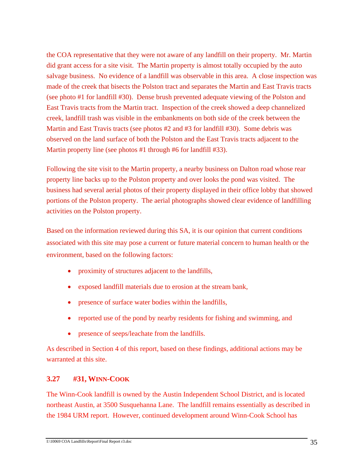the COA representative that they were not aware of any landfill on their property. Mr. Martin did grant access for a site visit. The Martin property is almost totally occupied by the auto salvage business. No evidence of a landfill was observable in this area. A close inspection was made of the creek that bisects the Polston tract and separates the Martin and East Travis tracts (see photo #1 for landfill #30). Dense brush prevented adequate viewing of the Polston and East Travis tracts from the Martin tract. Inspection of the creek showed a deep channelized creek, landfill trash was visible in the embankments on both side of the creek between the Martin and East Travis tracts (see photos #2 and #3 for landfill #30). Some debris was observed on the land surface of both the Polston and the East Travis tracts adjacent to the Martin property line (see photos #1 through #6 for landfill #33).

Following the site visit to the Martin property, a nearby business on Dalton road whose rear property line backs up to the Polston property and over looks the pond was visited. The business had several aerial photos of their property displayed in their office lobby that showed portions of the Polston property. The aerial photographs showed clear evidence of landfilling activities on the Polston property.

Based on the information reviewed during this SA, it is our opinion that current conditions associated with this site may pose a current or future material concern to human health or the environment, based on the following factors:

- proximity of structures adjacent to the landfills,
- exposed landfill materials due to erosion at the stream bank,
- presence of surface water bodies within the landfills,
- reported use of the pond by nearby residents for fishing and swimming, and
- presence of seeps/leachate from the landfills.

As described in Section 4 of this report, based on these findings, additional actions may be warranted at this site.

# **3.27 #31, WINN-COOK**

The Winn-Cook landfill is owned by the Austin Independent School District, and is located northeast Austin, at 3500 Susquehanna Lane. The landfill remains essentially as described in the 1984 URM report. However, continued development around Winn-Cook School has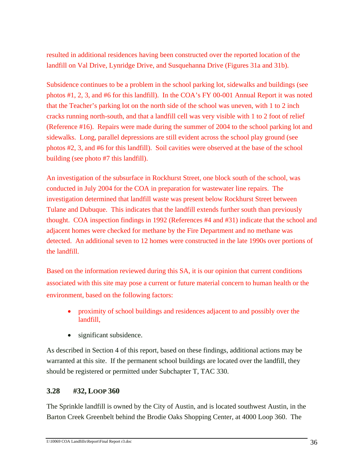resulted in additional residences having been constructed over the reported location of the landfill on Val Drive, Lynridge Drive, and Susquehanna Drive (Figures 31a and 31b).

Subsidence continues to be a problem in the school parking lot, sidewalks and buildings (see photos #1, 2, 3, and #6 for this landfill). In the COA's FY 00-001 Annual Report it was noted that the Teacher's parking lot on the north side of the school was uneven, with 1 to 2 inch cracks running north-south, and that a landfill cell was very visible with 1 to 2 foot of relief (Reference #16). Repairs were made during the summer of 2004 to the school parking lot and sidewalks. Long, parallel depressions are still evident across the school play ground (see photos #2, 3, and #6 for this landfill). Soil cavities were observed at the base of the school building (see photo #7 this landfill).

An investigation of the subsurface in Rockhurst Street, one block south of the school, was conducted in July 2004 for the COA in preparation for wastewater line repairs. The investigation determined that landfill waste was present below Rockhurst Street between Tulane and Dubuque. This indicates that the landfill extends further south than previously thought. COA inspection findings in 1992 (References #4 and #31) indicate that the school and adjacent homes were checked for methane by the Fire Department and no methane was detected. An additional seven to 12 homes were constructed in the late 1990s over portions of the landfill.

Based on the information reviewed during this SA, it is our opinion that current conditions associated with this site may pose a current or future material concern to human health or the environment, based on the following factors:

- proximity of school buildings and residences adjacent to and possibly over the landfill,
- significant subsidence.

As described in Section 4 of this report, based on these findings, additional actions may be warranted at this site. If the permanent school buildings are located over the landfill, they should be registered or permitted under Subchapter T, TAC 330.

# **3.28 #32, LOOP 360**

The Sprinkle landfill is owned by the City of Austin, and is located southwest Austin, in the Barton Creek Greenbelt behind the Brodie Oaks Shopping Center, at 4000 Loop 360. The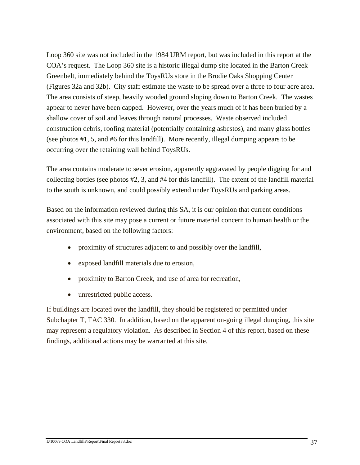Loop 360 site was not included in the 1984 URM report, but was included in this report at the COA's request. The Loop 360 site is a historic illegal dump site located in the Barton Creek Greenbelt, immediately behind the ToysRUs store in the Brodie Oaks Shopping Center (Figures 32a and 32b). City staff estimate the waste to be spread over a three to four acre area. The area consists of steep, heavily wooded ground sloping down to Barton Creek. The wastes appear to never have been capped. However, over the years much of it has been buried by a shallow cover of soil and leaves through natural processes. Waste observed included construction debris, roofing material (potentially containing asbestos), and many glass bottles (see photos #1, 5, and #6 for this landfill). More recently, illegal dumping appears to be occurring over the retaining wall behind ToysRUs.

The area contains moderate to sever erosion, apparently aggravated by people digging for and collecting bottles (see photos #2, 3, and #4 for this landfill). The extent of the landfill material to the south is unknown, and could possibly extend under ToysRUs and parking areas.

Based on the information reviewed during this SA, it is our opinion that current conditions associated with this site may pose a current or future material concern to human health or the environment, based on the following factors:

- proximity of structures adjacent to and possibly over the landfill,
- exposed landfill materials due to erosion,
- proximity to Barton Creek, and use of area for recreation,
- unrestricted public access.

If buildings are located over the landfill, they should be registered or permitted under Subchapter T, TAC 330. In addition, based on the apparent on-going illegal dumping, this site may represent a regulatory violation. As described in Section 4 of this report, based on these findings, additional actions may be warranted at this site.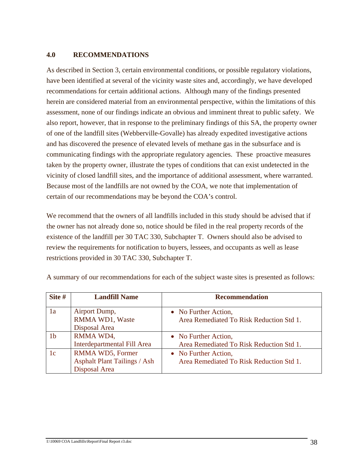#### **4.0 RECOMMENDATIONS**

As described in Section 3, certain environmental conditions, or possible regulatory violations, have been identified at several of the vicinity waste sites and, accordingly, we have developed recommendations for certain additional actions. Although many of the findings presented herein are considered material from an environmental perspective, within the limitations of this assessment, none of our findings indicate an obvious and imminent threat to public safety. We also report, however, that in response to the preliminary findings of this SA, the property owner of one of the landfill sites (Webberville-Govalle) has already expedited investigative actions and has discovered the presence of elevated levels of methane gas in the subsurface and is communicating findings with the appropriate regulatory agencies. These proactive measures taken by the property owner, illustrate the types of conditions that can exist undetected in the vicinity of closed landfill sites, and the importance of additional assessment, where warranted. Because most of the landfills are not owned by the COA, we note that implementation of certain of our recommendations may be beyond the COA's control.

We recommend that the owners of all landfills included in this study should be advised that if the owner has not already done so, notice should be filed in the real property records of the existence of the landfill per 30 TAC 330, Subchapter T. Owners should also be advised to review the requirements for notification to buyers, lessees, and occupants as well as lease restrictions provided in 30 TAC 330, Subchapter T.

| Site #         | <b>Landfill Name</b>                                                     | <b>Recommendation</b>                                            |
|----------------|--------------------------------------------------------------------------|------------------------------------------------------------------|
| 1a             | Airport Dump,<br>RMMA WD1, Waste<br>Disposal Area                        | • No Further Action,<br>Area Remediated To Risk Reduction Std 1. |
| 1 <sub>b</sub> | RMMA WD4,<br>Interdepartmental Fill Area                                 | • No Further Action,<br>Area Remediated To Risk Reduction Std 1. |
| 1c             | RMMA WD5, Former<br><b>Asphalt Plant Tailings / Ash</b><br>Disposal Area | • No Further Action,<br>Area Remediated To Risk Reduction Std 1. |

A summary of our recommendations for each of the subject waste sites is presented as follows: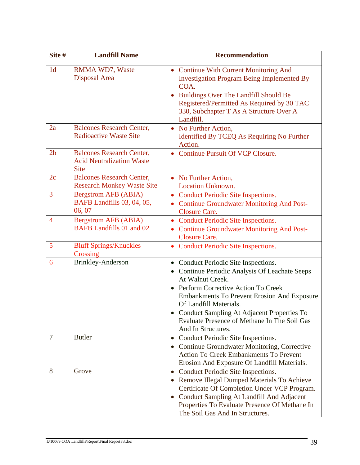| Site #         | <b>Landfill Name</b>                                                                | <b>Recommendation</b>                                                                                                                                                                                                                                                                                                                            |
|----------------|-------------------------------------------------------------------------------------|--------------------------------------------------------------------------------------------------------------------------------------------------------------------------------------------------------------------------------------------------------------------------------------------------------------------------------------------------|
| 1 <sub>d</sub> | RMMA WD7, Waste<br>Disposal Area                                                    | • Continue With Current Monitoring And<br><b>Investigation Program Being Implemented By</b><br>COA.<br>Buildings Over The Landfill Should Be<br>Registered/Permitted As Required by 30 TAC<br>330, Subchapter T As A Structure Over A<br>Landfill.                                                                                               |
| 2a             | <b>Balcones Research Center,</b><br><b>Radioactive Waste Site</b>                   | • No Further Action,<br>Identified By TCEQ As Requiring No Further<br>Action.                                                                                                                                                                                                                                                                    |
| 2 <sub>b</sub> | <b>Balcones Research Center,</b><br><b>Acid Neutralization Waste</b><br><b>Site</b> | • Continue Pursuit Of VCP Closure.                                                                                                                                                                                                                                                                                                               |
| 2c             | <b>Balcones Research Center,</b><br><b>Research Monkey Waste Site</b>               | • No Further Action,<br><b>Location Unknown.</b>                                                                                                                                                                                                                                                                                                 |
| $\overline{3}$ | <b>Bergstrom AFB (ABIA)</b><br>BAFB Landfills 03, 04, 05,<br>06, 07                 | • Conduct Periodic Site Inspections.<br>• Continue Groundwater Monitoring And Post-<br><b>Closure Care.</b>                                                                                                                                                                                                                                      |
| $\overline{4}$ | <b>Bergstrom AFB (ABIA)</b><br><b>BAFB</b> Landfills 01 and 02                      | • Conduct Periodic Site Inspections.<br><b>Continue Groundwater Monitoring And Post-</b><br><b>Closure Care.</b>                                                                                                                                                                                                                                 |
| 5              | <b>Bluff Springs/Knuckles</b><br>Crossing                                           | • Conduct Periodic Site Inspections.                                                                                                                                                                                                                                                                                                             |
| 6              | <b>Brinkley-Anderson</b>                                                            | Conduct Periodic Site Inspections.<br>Continue Periodic Analysis Of Leachate Seeps<br>At Walnut Creek.<br>Perform Corrective Action To Creek<br><b>Embankments To Prevent Erosion And Exposure</b><br>Of Landfill Materials.<br>Conduct Sampling At Adjacent Properties To<br>Evaluate Presence of Methane In The Soil Gas<br>And In Structures. |
| 7              | <b>Butler</b>                                                                       | • Conduct Periodic Site Inspections.<br>Continue Groundwater Monitoring, Corrective<br><b>Action To Creek Embankments To Prevent</b><br>Erosion And Exposure Of Landfill Materials.                                                                                                                                                              |
| 8              | Grove                                                                               | Conduct Periodic Site Inspections.<br>$\bullet$<br>Remove Illegal Dumped Materials To Achieve<br>$\bullet$<br>Certificate Of Completion Under VCP Program.<br>Conduct Sampling At Landfill And Adjacent<br>$\bullet$<br>Properties To Evaluate Presence Of Methane In<br>The Soil Gas And In Structures.                                         |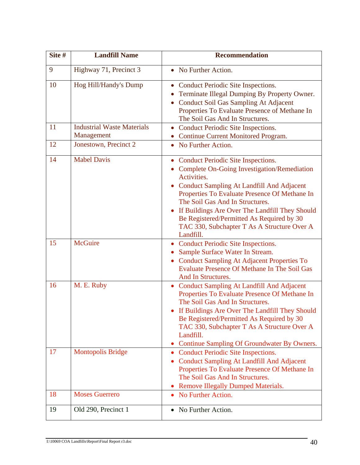| Site # | <b>Landfill Name</b>                            | <b>Recommendation</b>                                                                                                                                                                                                                                                                                                                                                                                 |
|--------|-------------------------------------------------|-------------------------------------------------------------------------------------------------------------------------------------------------------------------------------------------------------------------------------------------------------------------------------------------------------------------------------------------------------------------------------------------------------|
| 9      | Highway 71, Precinct 3                          | • No Further Action.                                                                                                                                                                                                                                                                                                                                                                                  |
| 10     | Hog Hill/Handy's Dump                           | Conduct Periodic Site Inspections.<br>Terminate Illegal Dumping By Property Owner.<br>Conduct Soil Gas Sampling At Adjacent<br>Properties To Evaluate Presence of Methane In<br>The Soil Gas And In Structures.                                                                                                                                                                                       |
| 11     | <b>Industrial Waste Materials</b><br>Management | • Conduct Periodic Site Inspections.<br>• Continue Current Monitored Program.                                                                                                                                                                                                                                                                                                                         |
| 12     | Jonestown, Precinct 2                           | • No Further Action.                                                                                                                                                                                                                                                                                                                                                                                  |
| 14     | <b>Mabel Davis</b>                              | <b>Conduct Periodic Site Inspections.</b><br>• Complete On-Going Investigation/Remediation<br>Activities.<br>Conduct Sampling At Landfill And Adjacent<br>Properties To Evaluate Presence Of Methane In<br>The Soil Gas And In Structures.<br>If Buildings Are Over The Landfill They Should<br>Be Registered/Permitted As Required by 30<br>TAC 330, Subchapter T As A Structure Over A<br>Landfill. |
| 15     | <b>McGuire</b>                                  | <b>Conduct Periodic Site Inspections.</b><br>Sample Surface Water In Stream.<br>• Conduct Sampling At Adjacent Properties To<br><b>Evaluate Presence Of Methane In The Soil Gas</b><br>And In Structures.                                                                                                                                                                                             |
| 16     | M. E. Ruby                                      | <b>Conduct Sampling At Landfill And Adjacent</b><br>Properties To Evaluate Presence Of Methane In<br>The Soil Gas And In Structures.<br>If Buildings Are Over The Landfill They Should<br>Be Registered/Permitted As Required by 30<br>TAC 330, Subchapter T As A Structure Over A<br>Landfill.<br>• Continue Sampling Of Groundwater By Owners.                                                      |
| 17     | <b>Montopolis Bridge</b>                        | • Conduct Periodic Site Inspections.<br><b>Conduct Sampling At Landfill And Adjacent</b><br>Properties To Evaluate Presence Of Methane In<br>The Soil Gas And In Structures.<br>• Remove Illegally Dumped Materials.                                                                                                                                                                                  |
| 18     | <b>Moses Guerrero</b>                           | No Further Action.                                                                                                                                                                                                                                                                                                                                                                                    |
| 19     | Old 290, Precinct 1                             | No Further Action.                                                                                                                                                                                                                                                                                                                                                                                    |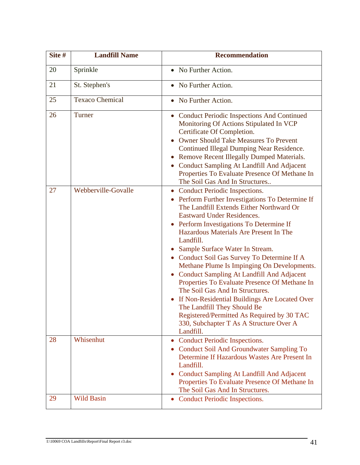| Site # | <b>Landfill Name</b>   | <b>Recommendation</b>                                                                                                                                                                                                                                                                                                                                                                                                                                                                                                                                                                                                                                                                                                                                |
|--------|------------------------|------------------------------------------------------------------------------------------------------------------------------------------------------------------------------------------------------------------------------------------------------------------------------------------------------------------------------------------------------------------------------------------------------------------------------------------------------------------------------------------------------------------------------------------------------------------------------------------------------------------------------------------------------------------------------------------------------------------------------------------------------|
| 20     | Sprinkle               | • No Further Action.                                                                                                                                                                                                                                                                                                                                                                                                                                                                                                                                                                                                                                                                                                                                 |
| 21     | St. Stephen's          | No Further Action.                                                                                                                                                                                                                                                                                                                                                                                                                                                                                                                                                                                                                                                                                                                                   |
| 25     | <b>Texaco Chemical</b> | • No Further Action.                                                                                                                                                                                                                                                                                                                                                                                                                                                                                                                                                                                                                                                                                                                                 |
| 26     | Turner                 | • Conduct Periodic Inspections And Continued<br>Monitoring Of Actions Stipulated In VCP<br>Certificate Of Completion.<br><b>Owner Should Take Measures To Prevent</b><br><b>Continued Illegal Dumping Near Residence.</b><br><b>Remove Recent Illegally Dumped Materials.</b><br>• Conduct Sampling At Landfill And Adjacent<br>Properties To Evaluate Presence Of Methane In<br>The Soil Gas And In Structures                                                                                                                                                                                                                                                                                                                                      |
| 27     | Webberville-Govalle    | <b>Conduct Periodic Inspections.</b><br>• Perform Further Investigations To Determine If<br>The Landfill Extends Either Northward Or<br><b>Eastward Under Residences.</b><br>Perform Investigations To Determine If<br>$\bullet$<br>Hazardous Materials Are Present In The<br>Landfill.<br>Sample Surface Water In Stream.<br>Conduct Soil Gas Survey To Determine If A<br>Methane Plume Is Impinging On Developments.<br><b>Conduct Sampling At Landfill And Adjacent</b><br>Properties To Evaluate Presence Of Methane In<br>The Soil Gas And In Structures.<br>If Non-Residential Buildings Are Located Over<br>The Landfill They Should Be<br>Registered/Permitted As Required by 30 TAC<br>330, Subchapter T As A Structure Over A<br>Landfill. |
| 28     | Whisenhut              | <b>Conduct Periodic Inspections.</b><br>• Conduct Soil And Groundwater Sampling To<br>Determine If Hazardous Wastes Are Present In<br>Landfill.<br>Conduct Sampling At Landfill And Adjacent<br>Properties To Evaluate Presence Of Methane In<br>The Soil Gas And In Structures.                                                                                                                                                                                                                                                                                                                                                                                                                                                                     |
| 29     | <b>Wild Basin</b>      | • Conduct Periodic Inspections.                                                                                                                                                                                                                                                                                                                                                                                                                                                                                                                                                                                                                                                                                                                      |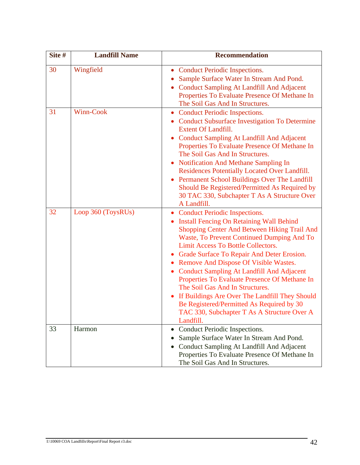| Site # | <b>Landfill Name</b> | <b>Recommendation</b>                                                                                                                                                                                                                                                                                                                                                                                                                                                                                                                                                                                                                  |
|--------|----------------------|----------------------------------------------------------------------------------------------------------------------------------------------------------------------------------------------------------------------------------------------------------------------------------------------------------------------------------------------------------------------------------------------------------------------------------------------------------------------------------------------------------------------------------------------------------------------------------------------------------------------------------------|
| 30     | Wingfield            | <b>Conduct Periodic Inspections.</b><br>Sample Surface Water In Stream And Pond.<br><b>Conduct Sampling At Landfill And Adjacent</b><br>Properties To Evaluate Presence Of Methane In<br>The Soil Gas And In Structures.                                                                                                                                                                                                                                                                                                                                                                                                               |
| 31     | Winn-Cook            | • Conduct Periodic Inspections.<br>• Conduct Subsurface Investigation To Determine<br><b>Extent Of Landfill.</b><br><b>Conduct Sampling At Landfill And Adjacent</b><br>Properties To Evaluate Presence Of Methane In<br>The Soil Gas And In Structures.<br>• Notification And Methane Sampling In<br>Residences Potentially Located Over Landfill.<br>Permanent School Buildings Over The Landfill<br>Should Be Registered/Permitted As Required by<br>30 TAC 330, Subchapter T As A Structure Over<br>A Landfill.                                                                                                                    |
| 32     | Loop 360 (ToysRUs)   | <b>Conduct Periodic Inspections.</b><br><b>Install Fencing On Retaining Wall Behind</b><br>$\bullet$<br>Shopping Center And Between Hiking Trail And<br>Waste, To Prevent Continued Dumping And To<br>Limit Access To Bottle Collectors.<br>• Grade Surface To Repair And Deter Erosion.<br>• Remove And Dispose Of Visible Wastes.<br><b>Conduct Sampling At Landfill And Adjacent</b><br>Properties To Evaluate Presence Of Methane In<br>The Soil Gas And In Structures.<br>If Buildings Are Over The Landfill They Should<br>Be Registered/Permitted As Required by 30<br>TAC 330, Subchapter T As A Structure Over A<br>Landfill. |
| 33     | Harmon               | • Conduct Periodic Inspections.<br>Sample Surface Water In Stream And Pond.<br>Conduct Sampling At Landfill And Adjacent<br>Properties To Evaluate Presence Of Methane In<br>The Soil Gas And In Structures.                                                                                                                                                                                                                                                                                                                                                                                                                           |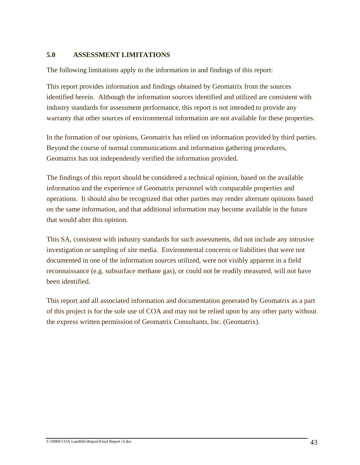#### **5.0 ASSESSMENT LIMITATIONS**

The following limitations apply to the information in and findings of this report:

This report provides information and findings obtained by Geomatrix from the sources identified herein. Although the information sources identified and utilized are consistent with industry standards for assessment performance, this report is not intended to provide any warranty that other sources of environmental information are not available for these properties.

In the formation of our opinions, Geomatrix has relied on information provided by third parties. Beyond the course of normal communications and information gathering procedures, Geomatrix has not independently verified the information provided.

The findings of this report should be considered a technical opinion, based on the available information and the experience of Geomatrix personnel with comparable properties and operations. It should also be recognized that other parties may render alternate opinions based on the same information, and that additional information may become available in the future that would alter this opinion.

This SA, consistent with industry standards for such assessments, did not include any intrusive investigation or sampling of site media. Environmental concerns or liabilities that were not documented in one of the information sources utilized, were not visibly apparent in a field reconnaissance (e.g. subsurface methane gas), or could not be readily measured, will not have been identified.

This report and all associated information and documentation generated by Geomatrix as a part of this project is for the sole use of COA and may not be relied upon by any other party without the express written permission of Geomatrix Consultants, Inc. (Geomatrix).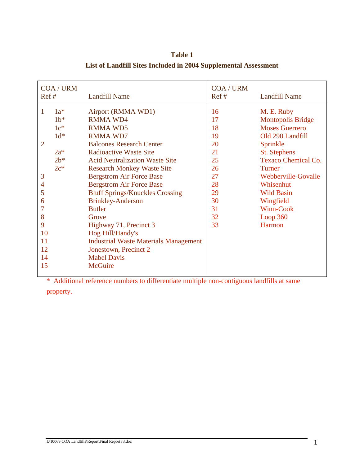| COA / URM<br>Ref# |        | <b>Landfill Name</b>                         | COA / URM<br>Ref# | <b>Landfill Name</b>       |
|-------------------|--------|----------------------------------------------|-------------------|----------------------------|
| 1                 | $1a^*$ | Airport (RMMA WD1)                           | 16                | M. E. Ruby                 |
|                   | $1b*$  | <b>RMMA WD4</b>                              | 17                | <b>Montopolis Bridge</b>   |
|                   | $1c^*$ | <b>RMMA WD5</b>                              | 18                | <b>Moses Guerrero</b>      |
|                   | $1d^*$ | <b>RMMA WD7</b>                              | 19                | Old 290 Landfill           |
| $\overline{2}$    |        | <b>Balcones Research Center</b>              | 20                | Sprinkle                   |
|                   | $2a^*$ | <b>Radioactive Waste Site</b>                | 21                | <b>St.</b> Stephens        |
|                   | $2b*$  | <b>Acid Neutralization Waste Site</b>        | 25                | <b>Texaco Chemical Co.</b> |
|                   | $2c^*$ | <b>Research Monkey Waste Site</b>            | 26                | Turner                     |
| 3                 |        | <b>Bergstrom Air Force Base</b>              | 27                | Webberville-Govalle        |
| $\overline{4}$    |        | <b>Bergstrom Air Force Base</b>              | 28                | Whisenhut                  |
| 5                 |        | <b>Bluff Springs/Knuckles Crossing</b>       | 29                | <b>Wild Basin</b>          |
| 6                 |        | <b>Brinkley-Anderson</b>                     | 30                | Wingfield                  |
|                   |        | <b>Butler</b>                                | 31                | Winn-Cook                  |
| 8                 |        | Grove                                        | 32                | Loop $360$                 |
| 9                 |        | Highway 71, Precinct 3                       | 33                | <b>Harmon</b>              |
| 10                |        | Hog Hill/Handy's                             |                   |                            |
| 11                |        | <b>Industrial Waste Materials Management</b> |                   |                            |
| 12                |        | Jonestown, Precinct 2                        |                   |                            |
| 14                |        | <b>Mabel Davis</b>                           |                   |                            |
| 15                |        | <b>McGuire</b>                               |                   |                            |
|                   |        |                                              |                   |                            |

**Table 1 List of Landfill Sites Included in 2004 Supplemental Assessment**

\* Additional reference numbers to differentiate multiple non-contiguous landfills at same property.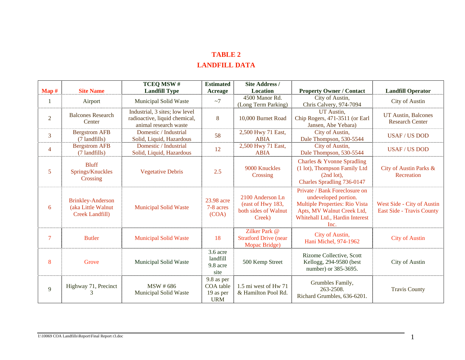## **TABLE 2 LANDFILL DATA**

|                   |                                                                          | TCEQ MSW#                                                                                | <b>Estimated</b>                                   | <b>Site Address /</b>                                                   |                                                                                                                                                                         |                                                         |
|-------------------|--------------------------------------------------------------------------|------------------------------------------------------------------------------------------|----------------------------------------------------|-------------------------------------------------------------------------|-------------------------------------------------------------------------------------------------------------------------------------------------------------------------|---------------------------------------------------------|
| $\mathbf{Map} \#$ | <b>Site Name</b>                                                         | <b>Landfill Type</b>                                                                     | Acreage                                            | <b>Location</b>                                                         | <b>Property Owner / Contact</b>                                                                                                                                         | <b>Landfill Operator</b>                                |
|                   | Airport                                                                  | Municipal Solid Waste                                                                    | ~1                                                 | 4500 Manor Rd.<br>(Long Term Parking)                                   | City of Austin,<br>Chris Calvery, 974-7094                                                                                                                              | <b>City of Austin</b>                                   |
| $\overline{2}$    | <b>Balcones Research</b><br>Center                                       | Industrial, 3 sites; low level<br>radioactive, liquid chemical,<br>animal research waste | 8                                                  | 10,000 Burnet Road                                                      | UT Austin,<br>Chip Rogers, 471-3511 (or Earl<br>Jansen, Abe Yebara)                                                                                                     | UT Austin, Balcones<br><b>Research Center</b>           |
| $\overline{3}$    | <b>Bergstrom AFB</b><br>(7 landfills)                                    | Domestic / Industrial<br>Solid, Liquid, Hazardous                                        | 58                                                 | 2,500 Hwy 71 East,<br><b>ABIA</b>                                       | City of Austin,<br>Dale Thompson, 530-5544                                                                                                                              | <b>USAF/US DOD</b>                                      |
| $\overline{4}$    | <b>Bergstrom AFB</b><br>(7 landfills)                                    | Domestic / Industrial<br>Solid, Liquid, Hazardous                                        | 12                                                 | 2,500 Hwy 71 East,<br><b>ABIA</b>                                       | City of Austin,<br>Dale Thompson, 530-5544                                                                                                                              | <b>USAF/US DOD</b>                                      |
| 5                 | <b>Bluff</b><br>Springs/Knuckles<br>Crossing                             | <b>Vegetative Debris</b>                                                                 | 2.5                                                | 9000 Knuckles<br>Crossing                                               | Charles & Yvonne Spradling<br>(1 lot), Thompson Family Ltd<br>$(2nd lot)$ ,<br>Charles Spradling 736-0147                                                               | City of Austin Parks &<br>Recreation                    |
| 6                 | <b>Brinkley-Anderson</b><br>(aka Little Walnut<br><b>Creek Landfill)</b> | <b>Municipal Solid Waste</b>                                                             | 23.98 acre<br>7-8 acres<br>(COA)                   | 2100 Anderson Ln<br>(east of Hwy 183,<br>both sides of Walnut<br>Creek) | Private / Bank Foreclosure on<br>undeveloped portion.<br><b>Multiple Properties: Rio Vista</b><br>Apts, MV Walnut Creek Ltd,<br>Whitehall Ltd., Hardin Interest<br>Inc. | West Side - City of Austin<br>East Side - Travis County |
| $\overline{7}$    | <b>Butler</b>                                                            | <b>Municipal Solid Waste</b>                                                             | 18                                                 | Zilker Park @<br><b>Stratford Drive (near</b><br>Mopac Bridge)          | City of Austin,<br>Hani Michel, 974-1962                                                                                                                                | <b>City of Austin</b>                                   |
| 8                 | Grove                                                                    | Municipal Solid Waste                                                                    | 3.6 acre<br>landfill<br>9.8 acre<br>site           | 500 Kemp Street                                                         | Rizome Collective, Scott<br>Kellogg, 294-9580 (best<br>number) or 385-3695.                                                                                             | City of Austin                                          |
| 9                 | Highway 71, Precinct<br>3                                                | <b>MSW</b> #686<br>Municipal Solid Waste                                                 | 9.8 as per<br>COA table<br>19 as per<br><b>URM</b> | 1.5 mi west of Hw 71<br>& Hamilton Pool Rd.                             | Grumbles Family,<br>263-2508.<br>Richard Grumbles, 636-6201.                                                                                                            | <b>Travis County</b>                                    |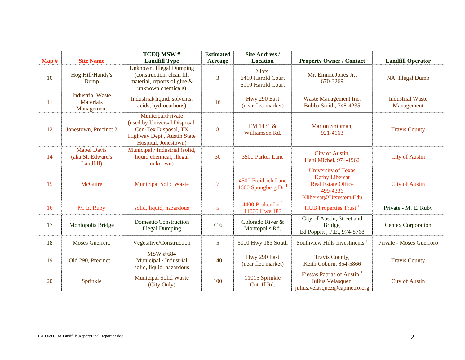|                  |                                                           | TCEQ MSW#                                                                                                                        | <b>Estimated</b> | <b>Site Address /</b>                             |                                                                                                                        |                                       |
|------------------|-----------------------------------------------------------|----------------------------------------------------------------------------------------------------------------------------------|------------------|---------------------------------------------------|------------------------------------------------------------------------------------------------------------------------|---------------------------------------|
| $\mathbf{Map}$ # | <b>Site Name</b>                                          | <b>Landfill Type</b>                                                                                                             | Acreage          | <b>Location</b>                                   | <b>Property Owner / Contact</b>                                                                                        | <b>Landfill Operator</b>              |
| 10               | Hog Hill/Handy's<br>Dump                                  | <b>Unknown, Illegal Dumping</b><br>(construction, clean fill<br>material, reports of glue &<br>unknown chemicals)                | 3                | 2 lots:<br>6410 Harold Court<br>6110 Harold Court | Mr. Emmit Jones Jr.,<br>670-3269                                                                                       | NA, Illegal Dump                      |
| 11               | <b>Industrial Waste</b><br><b>Materials</b><br>Management | Industrial(liquid, solvents,<br>acids, hydrocarbons)                                                                             | 16               | Hwy 290 East<br>(near flea market)                | Waste Management Inc.<br>Bubba Smith, 748-4235                                                                         | <b>Industrial Waste</b><br>Management |
| 12               | Jonestown, Precinct 2                                     | Municipal/Private<br>(used by Universal Disposal,<br>Cen-Tex Disposal, TX<br>Highway Dept., Austin State<br>Hospital, Jonestown) | 8                | FM 1431 &<br>Williamson Rd.                       | Marion Shipman,<br>921-4163                                                                                            | <b>Travis County</b>                  |
| 14               | <b>Mabel Davis</b><br>(aka St. Edward's<br>Landfill)      | Municipal / Industrial (solid,<br>liquid chemical, illegal<br>unknown)                                                           | 30               | 3500 Parker Lane                                  | City of Austin,<br>Hani Michel, 974-1962                                                                               | <b>City of Austin</b>                 |
| 15               | <b>McGuire</b>                                            | <b>Municipal Solid Waste</b>                                                                                                     | $\overline{7}$   | 4500 Freidrich Lane<br>1600 Spongberg Dr.         | <b>University of Texas</b><br><b>Kathy Libersat</b><br><b>Real Estate Office</b><br>499-4336<br>Klibersat@Utsystem.Edu | <b>City of Austin</b>                 |
| 16               | M. E. Ruby                                                | solid, liquid, hazardous                                                                                                         | 5                | 4400 Braker Ln <sup>1</sup><br>11000 Hwy 183      | HUB Properties Trust <sup>1</sup>                                                                                      | Private - M. E. Ruby                  |
| 17               | Montopolis Bridge                                         | Domestic/Construction<br><b>Illegal Dumping</b>                                                                                  | <16              | Colorado River &<br>Montopolis Rd.                | City of Austin, Street and<br>Bridge,<br>Ed Poppitt, P.E., 974-8768                                                    | Centex Corporation                    |
| 18               | <b>Moses Guerrero</b>                                     | Vegetative/Construction                                                                                                          | 5                | 6000 Hwy 183 South                                | Southview Hills Investments <sup>1</sup>                                                                               | Private - Moses Guerroro              |
| 19               | Old 290, Precinct 1                                       | <b>MSW</b> # 684<br>Municipal / Industrial<br>solid, liquid, hazardous                                                           | 140              | Hwy 290 East<br>(near flea market)                | Travis County,<br>Keith Coburn, 854-5866                                                                               | <b>Travis County</b>                  |
| 20               | Sprinkle                                                  | <b>Municipal Solid Waste</b><br>(City Only)                                                                                      | 100              | 11015 Sprinkle<br>Cutoff Rd.                      | Fiestas Patrias of Austin <sup>1</sup><br>Julius Velasquez,<br>julius.velasquez@capmetro.org                           | <b>City of Austin</b>                 |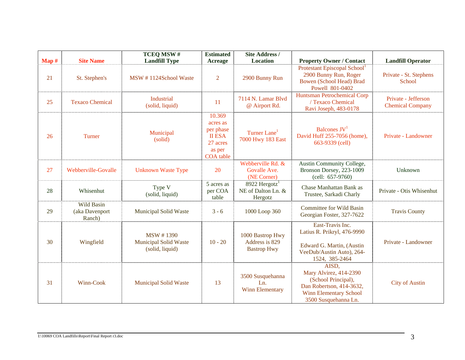|       |                                               | TCEQ MSW#                                                           | <b>Estimated</b>                                                                    | <b>Site Address /</b>                                      |                                                                                                                                             |                                                |
|-------|-----------------------------------------------|---------------------------------------------------------------------|-------------------------------------------------------------------------------------|------------------------------------------------------------|---------------------------------------------------------------------------------------------------------------------------------------------|------------------------------------------------|
| Map # | <b>Site Name</b>                              | <b>Landfill Type</b>                                                | Acreage                                                                             | <b>Location</b>                                            | <b>Property Owner / Contact</b>                                                                                                             | <b>Landfill Operator</b>                       |
| 21    | St. Stephen's                                 | MSW #1124School Waste                                               | 2                                                                                   | 2900 Bunny Run                                             | Protestant Episcopal School <sup>1</sup><br>2900 Bunny Run, Roger<br><b>Bowen (School Head) Brad</b><br>Powell 801-0402                     | Private - St. Stephens<br>School               |
| 25    | <b>Texaco Chemical</b>                        | Industrial<br>(solid, liquid)                                       | 11                                                                                  | 7114 N. Lamar Blvd<br>@ Airport Rd.                        | <b>Huntsman Petrochemical Corp</b><br>/ Texaco Chemical<br>Ravi Joseph, 483-0178                                                            | Private - Jefferson<br><b>Chemical Company</b> |
| 26    | Turner                                        | Municipal<br>(solid)                                                | 10.369<br>acres as<br>per phase<br><b>II ESA</b><br>27 acres<br>as per<br>COA table | Turner Lane <sup>1</sup><br>7000 Hwy 183 East              | Balcones $JV1$<br>David Huff 255-7056 (home),<br>663-9339 (cell)                                                                            | Private - Landowner                            |
| 27    | Webberville-Govalle                           | <b>Unknown Waste Type</b>                                           | 20                                                                                  | Webberville Rd. &<br>Govalle Ave.<br>(NE Corner)           | Austin Community College,<br>Bronson Dorsey, 223-1009<br>$(cell: 657-9760)$                                                                 | Unknown                                        |
| 28    | Whisenhut                                     | Type V<br>(solid, liquid)                                           | 5 acres as<br>per COA<br>table                                                      | 8922 Hergotz <sup>1</sup><br>NE of Dalton Ln. &<br>Hergotz | Chase Manhattan Bank as<br>Trustee, Sarkadi Charly                                                                                          | Private - Otis Whisenhut                       |
| 29    | <b>Wild Basin</b><br>(aka Davenport<br>Ranch) | <b>Municipal Solid Waste</b>                                        | $3 - 6$                                                                             | 1000 Loop 360                                              | <b>Committee for Wild Basin</b><br>Georgian Foster, 327-7622                                                                                | <b>Travis County</b>                           |
| 30    | Wingfield                                     | <b>MSW #1390</b><br><b>Municipal Solid Waste</b><br>(solid, liquid) | $10 - 20$                                                                           | 1000 Bastrop Hwy<br>Address is 829<br><b>Bastrop Hwy</b>   | East-Travis Inc.<br>Latius R. Prikryl, 476-9990<br>Edward G. Martin, (Austin<br>VeeDub/Austin Auto), 264-<br>1524, 385-2464                 | Private - Landowner                            |
| 31    | Winn-Cook                                     | <b>Municipal Solid Waste</b>                                        | 13                                                                                  | 3500 Susquehanna<br>Ln.<br>Winn Elementary                 | AISD,<br>Mary Alvirez, 414-2390<br>(School Principal),<br>Dan Robertson, 414-3632,<br><b>Winn Elementary School</b><br>3500 Susquehanna Ln. | <b>City of Austin</b>                          |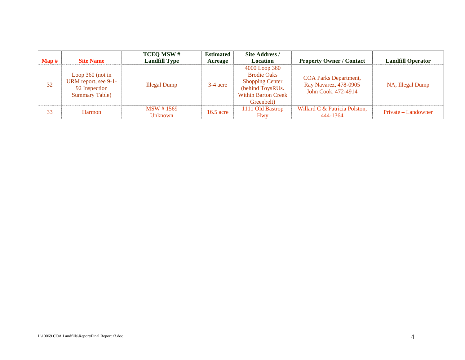| $\mathbf{Map} \ \text{\#}$ | <b>Site Name</b>                                                                      | <b>TCEQ MSW#</b><br><b>Landfill Type</b> | <b>Estimated</b><br>Acreage | Site Address /<br><b>Location</b>                                                                                             | <b>Property Owner / Contact</b>                                              | <b>Landfill Operator</b> |
|----------------------------|---------------------------------------------------------------------------------------|------------------------------------------|-----------------------------|-------------------------------------------------------------------------------------------------------------------------------|------------------------------------------------------------------------------|--------------------------|
| 32                         | Loop $360$ (not in<br>URM report, see 9-1-<br>92 Inspection<br><b>Summary Table</b> ) | <b>Illegal Dump</b>                      | $3-4$ acre                  | 4000 Loop 360<br><b>Brodie Oaks</b><br><b>Shopping Center</b><br>(behind ToysRUs.<br><b>Within Barton Creek</b><br>Greenbelt) | <b>COA Parks Department,</b><br>Ray Navarez, 478-0905<br>John Cook, 472-4914 | NA, Illegal Dump         |
| 33                         | Harmon                                                                                | <b>MSW</b> #1569<br>Unknown              | $16.5$ acre                 | 1111 Old Bastrop<br><b>Hwy</b>                                                                                                | Willard C & Patricia Polston,<br>444-1364                                    | Private – Landowner      |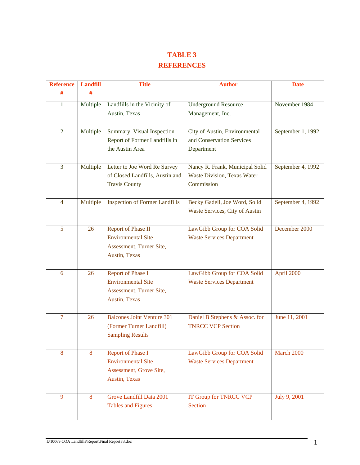# **TABLE 3 REFERENCES**

| <b>Reference</b> | <b>Landfill</b> | <b>Title</b>                                                | <b>Author</b>                                                   | <b>Date</b>       |
|------------------|-----------------|-------------------------------------------------------------|-----------------------------------------------------------------|-------------------|
| #                | #               |                                                             |                                                                 |                   |
| $\mathbf{1}$     | Multiple        | Landfills in the Vicinity of<br>Austin, Texas               | <b>Underground Resource</b><br>Management, Inc.                 | November 1984     |
|                  |                 |                                                             |                                                                 |                   |
| $\overline{2}$   | Multiple        | Summary, Visual Inspection<br>Report of Former Landfills in | City of Austin, Environmental<br>and Conservation Services      | September 1, 1992 |
|                  |                 | the Austin Area                                             | Department                                                      |                   |
| 3                | Multiple        | Letter to Joe Word Re Survey                                | Nancy R. Frank, Municipal Solid                                 | September 4, 1992 |
|                  |                 | of Closed Landfills, Austin and<br><b>Travis County</b>     | Waste Division, Texas Water<br>Commission                       |                   |
|                  |                 |                                                             |                                                                 |                   |
| $\overline{4}$   | Multiple        | <b>Inspection of Former Landfills</b>                       | Becky Gadell, Joe Word, Solid                                   | September 4, 1992 |
|                  |                 |                                                             | Waste Services, City of Austin                                  |                   |
| 5                | 26              | Report of Phase II                                          | LawGibb Group for COA Solid                                     | December 2000     |
|                  |                 | <b>Environmental Site</b><br>Assessment, Turner Site,       | <b>Waste Services Department</b>                                |                   |
|                  |                 | Austin, Texas                                               |                                                                 |                   |
|                  |                 |                                                             |                                                                 |                   |
| 6                | 26              | Report of Phase I<br><b>Environmental Site</b>              | LawGibb Group for COA Solid<br><b>Waste Services Department</b> | April 2000        |
|                  |                 | Assessment, Turner Site,                                    |                                                                 |                   |
|                  |                 | Austin, Texas                                               |                                                                 |                   |
| 7                | 26              | <b>Balcones Joint Venture 301</b>                           | Daniel B Stephens & Assoc. for                                  | June 11, 2001     |
|                  |                 | (Former Turner Landfill)<br><b>Sampling Results</b>         | <b>TNRCC VCP Section</b>                                        |                   |
|                  |                 |                                                             |                                                                 |                   |
| 8                | 8               | <b>Report of Phase I</b>                                    | LawGibb Group for COA Solid                                     | March 2000        |
|                  |                 | <b>Environmental Site</b><br>Assessment, Grove Site,        | <b>Waste Services Department</b>                                |                   |
|                  |                 | Austin, Texas                                               |                                                                 |                   |
| 9                | 8               | Grove Landfill Data 2001                                    | <b>IT Group for TNRCC VCP</b>                                   | July 9, 2001      |
|                  |                 | <b>Tables and Figures</b>                                   | <b>Section</b>                                                  |                   |
|                  |                 |                                                             |                                                                 |                   |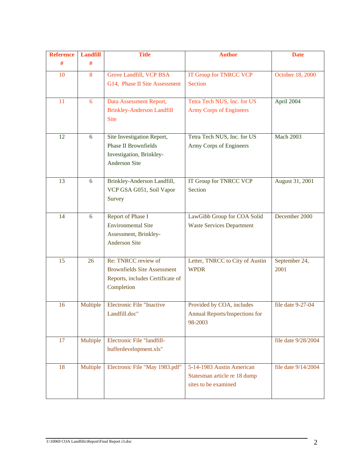| <b>Reference</b><br><b>Landfill</b> |          | <b>Title</b>                                                           | <b>Author</b>                                                      | <b>Date</b>         |
|-------------------------------------|----------|------------------------------------------------------------------------|--------------------------------------------------------------------|---------------------|
| #                                   | #        |                                                                        |                                                                    |                     |
| 8<br>10                             |          | Grove Landfill, VCP BSA                                                | <b>IT Group for TNRCC VCP</b>                                      | October 18, 2000    |
|                                     |          | G14, Phase II Site Assessment                                          | <b>Section</b>                                                     |                     |
| 11                                  | 6        | Data Assessment Report,                                                | Tetra Tech NUS, Inc. for US                                        | April 2004          |
|                                     |          | <b>Brinkley-Anderson Landfill</b><br><b>Site</b>                       | <b>Army Corps of Engineers</b>                                     |                     |
| 12                                  | 6        | Site Investigation Report,                                             | Tetra Tech NUS, Inc. for US                                        | <b>Mach 2003</b>    |
|                                     |          | <b>Phase II Brownfields</b><br>Investigation, Brinkley-                | Army Corps of Engineers                                            |                     |
|                                     |          | <b>Anderson Site</b>                                                   |                                                                    |                     |
| 13                                  | 6        | Brinkley-Anderson Landfill,                                            | IT Group for TNRCC VCP                                             | August 31, 2001     |
|                                     |          | VCP GSA G051, Soil Vapor                                               | Section                                                            |                     |
|                                     |          | Survey                                                                 |                                                                    |                     |
| 14                                  | 6        | Report of Phase I                                                      | LawGibb Group for COA Solid                                        | December 2000       |
|                                     |          | <b>Environmental Site</b>                                              | <b>Waste Services Department</b>                                   |                     |
|                                     |          | Assessment, Brinkley-<br><b>Anderson Site</b>                          |                                                                    |                     |
|                                     |          |                                                                        |                                                                    |                     |
| 15                                  | 26       | Re: TNRCC review of                                                    | Letter, TNRCC to City of Austin                                    | September 24,       |
|                                     |          | <b>Brownfields Site Assessment</b><br>Reports, includes Certificate of | <b>WPDR</b>                                                        | 2001                |
|                                     |          | Completion                                                             |                                                                    |                     |
|                                     |          |                                                                        |                                                                    |                     |
| 16                                  | Multiple | <b>Electronic File "Inactive</b><br>Landfill.doc"                      | Provided by COA, includes<br><b>Annual Reports/Inspections for</b> | file date 9-27-04   |
|                                     |          |                                                                        | 98-2003                                                            |                     |
|                                     |          |                                                                        |                                                                    |                     |
| 17                                  | Multiple | Electronic File "landfill-                                             |                                                                    | file date 9/28/2004 |
|                                     |          | bufferdevelopment.xls"                                                 |                                                                    |                     |
| 18                                  | Multiple | Electronic File "May 1983.pdf"                                         | 5-14-1983 Austin American                                          | file date 9/14/2004 |
|                                     |          |                                                                        | Statesman article re 18 dump<br>sites to be examined               |                     |
|                                     |          |                                                                        |                                                                    |                     |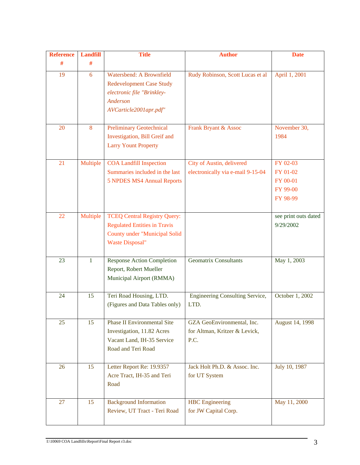| <b>Reference</b> | <b>Landfill</b> | <b>Title</b>                                                                                                                                 | <b>Author</b>                                                       | <b>Date</b>                                              |
|------------------|-----------------|----------------------------------------------------------------------------------------------------------------------------------------------|---------------------------------------------------------------------|----------------------------------------------------------|
| #                | #               |                                                                                                                                              |                                                                     |                                                          |
| 19               | 6               | Watersbend: A Brownfield<br><b>Redevelopment Case Study</b><br>electronic file "Brinkley-<br>Anderson<br>AVCarticle2001apr.pdf"              | Rudy Robinson, Scott Lucas et al                                    | April 1, 2001                                            |
| 20               | 8               | <b>Preliminary Geotechnical</b><br>Investigation, Bill Greif and<br><b>Larry Yount Property</b>                                              | Frank Bryant & Assoc                                                | November 30,<br>1984                                     |
| 21               | Multiple        | <b>COA Landfill Inspection</b><br>Summaries included in the last<br><b>5 NPDES MS4 Annual Reports</b>                                        | City of Austin, delivered<br>electronically via e-mail 9-15-04      | FY 02-03<br>FY 01-02<br>FY 00-01<br>FY 99-00<br>FY 98-99 |
| 22               | Multiple        | <b>TCEQ Central Registry Query:</b><br><b>Regulated Entities in Travis</b><br><b>County under "Municipal Solid</b><br><b>Waste Disposal"</b> |                                                                     | see print outs dated<br>9/29/2002                        |
| 23               | $\mathbf{1}$    | <b>Response Action Completion</b><br>Report, Robert Mueller<br>Municipal Airport (RMMA)                                                      | <b>Geomatrix Consultants</b>                                        | May 1, 2003                                              |
| 24               | 15              | Teri Road Housing, LTD.<br>(Figures and Data Tables only)                                                                                    | <b>Engineering Consulting Service,</b><br>LTD.                      | October 1, 2002                                          |
| 25               | 15              | <b>Phase II Environmental Site</b><br>Investigation, 11.82 Acres<br>Vacant Land, IH-35 Service<br>Road and Teri Road                         | GZA GeoEnvironmental, Inc.<br>for Altman, Kritzer & Levick,<br>P.C. | August 14, 1998                                          |
| 26               | 15              | Letter Report Re: 19.9357<br>Acre Tract, IH-35 and Teri<br>Road                                                                              | Jack Holt Ph.D. & Assoc. Inc.<br>for UT System                      | July 10, 1987                                            |
| 27               | 15              | <b>Background Information</b><br>Review, UT Tract - Teri Road                                                                                | <b>HBC</b> Engineering<br>for JW Capital Corp.                      | May 11, 2000                                             |